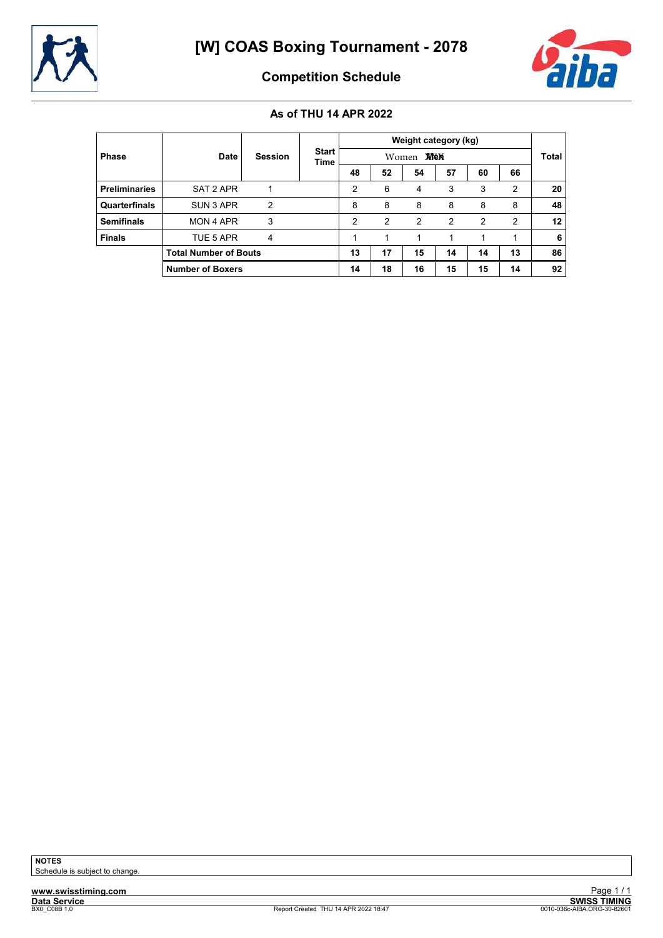



Competition Schedule

|                      |                              |                |                      |               |               |                  | Weight category (kg) |               |                |                 |
|----------------------|------------------------------|----------------|----------------------|---------------|---------------|------------------|----------------------|---------------|----------------|-----------------|
| <b>Phase</b>         | <b>Date</b>                  | <b>Session</b> | <b>Start</b><br>Time |               |               | Women <b>MEN</b> |                      |               |                | <b>Total</b>    |
|                      |                              |                |                      | 48            | 52            | 54               | 57                   | 60            | 66             |                 |
| <b>Preliminaries</b> | SAT 2 APR                    |                |                      | 2             | 6             | 4                | 3                    | 3             | $\overline{2}$ | 20              |
| Quarterfinals        | SUN 3 APR                    | 2              |                      | 8             | 8             | 8                | 8                    | 8             | 8              | 48              |
| <b>Semifinals</b>    | MON 4 APR                    | 3              |                      | $\mathcal{P}$ | $\mathcal{P}$ | $\mathcal{P}$    | $\mathcal{P}$        | $\mathcal{P}$ | 2              | 12 <sup>°</sup> |
| <b>Finals</b>        | TUE 5 APR                    | 4              |                      | 1             |               |                  |                      | 1             |                | 6               |
|                      | <b>Total Number of Bouts</b> |                |                      | 13            | 17            | 15               | 14                   | 14            | 13             | 86              |
|                      | <b>Number of Boxers</b>      |                |                      | 14            | 18            | 16               | 15                   | 15            | 14             | 92              |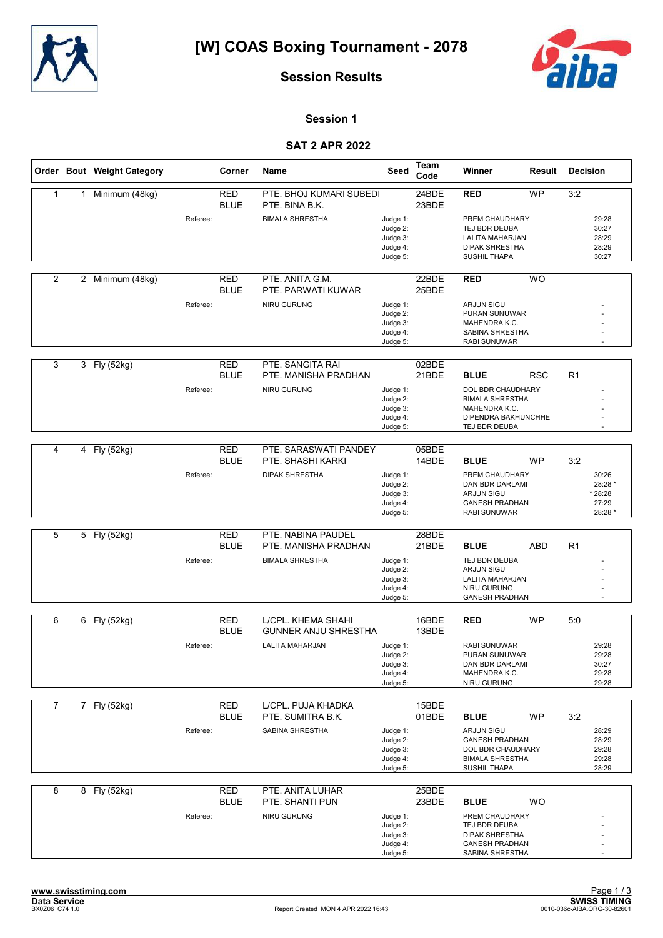



#### Session 1

#### SAT 2 APR 2022

|                |                | Order Bout Weight Category |          | Corner                    | Name                                           | Seed                                                     | Team<br>Code   | Winner                                                                                                              | Result     | <b>Decision</b>                                  |
|----------------|----------------|----------------------------|----------|---------------------------|------------------------------------------------|----------------------------------------------------------|----------------|---------------------------------------------------------------------------------------------------------------------|------------|--------------------------------------------------|
| $\mathbf{1}$   | 1              | Minimum (48kg)             |          | <b>RED</b><br><b>BLUE</b> | PTE. BHOJ KUMARI SUBEDI<br>PTE. BINA B.K.      |                                                          | 24BDE<br>23BDE | <b>RED</b>                                                                                                          | <b>WP</b>  | 3:2                                              |
|                |                |                            | Referee: |                           | <b>BIMALA SHRESTHA</b>                         | Judge 1:<br>Judge 2:<br>Judge 3:<br>Judge 4:<br>Judge 5: |                | PREM CHAUDHARY<br>TEJ BDR DEUBA<br>LALITA MAHARJAN<br><b>DIPAK SHRESTHA</b><br>SUSHIL THAPA                         |            | 29:28<br>30:27<br>28:29<br>28:29<br>30:27        |
| 2              |                | 2 Minimum (48kg)           |          | <b>RED</b><br><b>BLUE</b> | PTE. ANITA G.M.<br>PTE. PARWATI KUWAR          |                                                          | 22BDE<br>25BDE | <b>RED</b>                                                                                                          | WO         |                                                  |
|                |                |                            | Referee: |                           | NIRU GURUNG                                    | Judge 1:<br>Judge 2:<br>Judge 3:<br>Judge 4:<br>Judge 5: |                | <b>ARJUN SIGU</b><br>PURAN SUNUWAR<br>MAHENDRA K.C.<br>SABINA SHRESTHA<br><b>RABI SUNUWAR</b>                       |            |                                                  |
| 3              |                | 3 Fly (52kg)               |          | RED<br><b>BLUE</b>        | PTE. SANGITA RAI<br>PTE. MANISHA PRADHAN       |                                                          | 02BDE<br>21BDE | <b>BLUE</b>                                                                                                         | <b>RSC</b> | R1                                               |
|                |                |                            | Referee: |                           | <b>NIRU GURUNG</b>                             | Judge 1:<br>Judge 2:<br>Judge 3:<br>Judge 4:<br>Judge 5: |                | DOL BDR CHAUDHARY<br><b>BIMALA SHRESTHA</b><br>MAHENDRA K.C.<br>DIPENDRA BAKHUNCHHE<br>TEJ BDR DEUBA                |            |                                                  |
| 4              | $\overline{4}$ | Fly (52kg)                 |          | <b>RED</b><br><b>BLUE</b> | PTE. SARASWATI PANDEY<br>PTE. SHASHI KARKI     |                                                          | 05BDE<br>14BDE | <b>BLUE</b>                                                                                                         | <b>WP</b>  | 3:2                                              |
|                |                |                            | Referee: |                           | <b>DIPAK SHRESTHA</b>                          | Judge 1:<br>Judge 2:<br>Judge 3:<br>Judge 4:<br>Judge 5: |                | PREM CHAUDHARY<br>DAN BDR DARLAMI<br><b>ARJUN SIGU</b><br><b>GANESH PRADHAN</b><br><b>RABI SUNUWAR</b>              |            | 30:26<br>28:28 *<br>* 28:28<br>27:29<br>28:28 *  |
| 5              |                | 5 Fly (52kg)               |          | <b>RED</b>                | PTE. NABINA PAUDEL                             |                                                          | 28BDE          |                                                                                                                     |            |                                                  |
|                |                |                            | Referee: | <b>BLUE</b>               | PTE. MANISHA PRADHAN<br><b>BIMALA SHRESTHA</b> | Judge 1:                                                 | 21BDE          | <b>BLUE</b><br>TEJ BDR DEUBA                                                                                        | ABD        | R1                                               |
|                |                |                            |          |                           |                                                | Judge 2:<br>Judge 3:<br>Judge 4:<br>Judge 5:             |                | <b>ARJUN SIGU</b><br>LALITA MAHARJAN<br>NIRU GURUNG<br><b>GANESH PRADHAN</b>                                        |            |                                                  |
| 6              |                | 6 Fly (52kg)               |          | <b>RED</b>                | L/CPL. KHEMA SHAHI                             |                                                          | 16BDE          | <b>RED</b>                                                                                                          | <b>WP</b>  | 5:0                                              |
|                |                |                            | Referee: | <b>BLUE</b>               | <b>GUNNER ANJU SHRESTHA</b><br>LALITA MAHARJAN | Judge 1:<br>Judge 2:<br>Judge 3:<br>Judge 4:<br>Judge 5: | 13BDE          | <b>RABI SUNUWAR</b><br>PURAN SUNUWAR<br>DAN BDR DARLAMI<br>MAHENDRA K.C.<br>NIRU GURUNG                             |            | 29:28<br>29:28<br>30:27<br>29:28<br>29:28        |
| $\overline{7}$ |                | 7 Fly (52kg)               |          | <b>RED</b>                | L/CPL. PUJA KHADKA                             |                                                          | 15BDE          |                                                                                                                     |            |                                                  |
|                |                |                            | Referee: | <b>BLUE</b>               | PTE. SUMITRA B.K.<br><b>SABINA SHRESTHA</b>    | Judge 1:<br>Judge 2:<br>Judge 3:<br>Judge 4:<br>Judge 5: | 01BDE          | <b>BLUE</b><br>ARJUN SIGU<br><b>GANESH PRADHAN</b><br>DOL BDR CHAUDHARY<br><b>BIMALA SHRESTHA</b><br>SUSHIL THAPA   | <b>WP</b>  | 3:2<br>28:29<br>28:29<br>29:28<br>29:28<br>28:29 |
| 8              |                | 8 Fly (52kg)               |          | <b>RED</b>                | PTE. ANITA LUHAR                               |                                                          | 25BDE          |                                                                                                                     |            |                                                  |
|                |                |                            | Referee: | <b>BLUE</b>               | PTE. SHANTI PUN<br>NIRU GURUNG                 | Judge 1:<br>Judge 2:<br>Judge 3:<br>Judge 4:<br>Judge 5: | 23BDE          | <b>BLUE</b><br>PREM CHAUDHARY<br>TEJ BDR DEUBA<br><b>DIPAK SHRESTHA</b><br><b>GANESH PRADHAN</b><br>SABINA SHRESTHA | <b>WO</b>  |                                                  |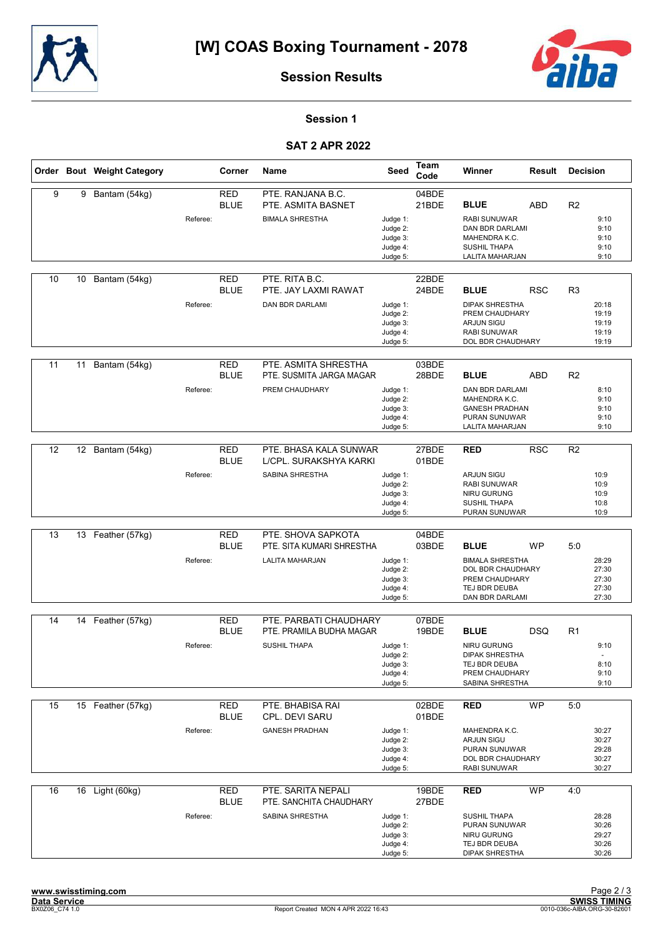



#### Session 1

#### SAT 2 APR 2022

|    |    | Order Bout Weight Category |          | Corner                    | Name                                                                       | Seed                                                     | Team<br>Code   | Winner                                                                                                                  | Result     | <b>Decision</b> |                                           |
|----|----|----------------------------|----------|---------------------------|----------------------------------------------------------------------------|----------------------------------------------------------|----------------|-------------------------------------------------------------------------------------------------------------------------|------------|-----------------|-------------------------------------------|
| 9  | 9  | Bantam (54kg)              | Referee: | <b>RED</b><br><b>BLUE</b> | PTE. RANJANA B.C.<br>PTE. ASMITA BASNET<br><b>BIMALA SHRESTHA</b>          | Judge 1:<br>Judge 2:<br>Judge 3:<br>Judge 4:<br>Judge 5: | 04BDE<br>21BDE | <b>BLUE</b><br><b>RABI SUNUWAR</b><br>DAN BDR DARLAMI<br>MAHENDRA K.C.<br><b>SUSHIL THAPA</b><br>LALITA MAHARJAN        | <b>ABD</b> | R <sub>2</sub>  | 9:10<br>9:10<br>9:10<br>9:10<br>9:10      |
| 10 | 10 | Bantam (54kg)              | Referee: | <b>RED</b><br><b>BLUE</b> | PTE. RITA B.C.<br>PTE. JAY LAXMI RAWAT<br>DAN BDR DARLAMI                  | Judge 1:<br>Judge 2:<br>Judge 3:<br>Judge 4:<br>Judge 5: | 22BDE<br>24BDE | <b>BLUE</b><br><b>DIPAK SHRESTHA</b><br>PREM CHAUDHARY<br><b>ARJUN SIGU</b><br><b>RABI SUNUWAR</b><br>DOL BDR CHAUDHARY | <b>RSC</b> | R <sub>3</sub>  | 20:18<br>19:19<br>19:19<br>19:19<br>19:19 |
| 11 | 11 | Bantam (54kg)              | Referee: | <b>RED</b><br><b>BLUE</b> | PTE. ASMITA SHRESTHA<br>PTE. SUSMITA JARGA MAGAR<br>PREM CHAUDHARY         | Judge 1:<br>Judge 2:<br>Judge 3:<br>Judge 4:<br>Judge 5: | 03BDE<br>28BDE | <b>BLUE</b><br><b>DAN BDR DARLAMI</b><br>MAHENDRA K.C.<br><b>GANESH PRADHAN</b><br>PURAN SUNUWAR<br>LALITA MAHARJAN     | <b>ABD</b> | R <sub>2</sub>  | 8:10<br>9:10<br>9:10<br>9:10<br>9:10      |
| 12 | 12 | Bantam (54kg)              | Referee: | <b>RED</b><br><b>BLUE</b> | PTE. BHASA KALA SUNWAR<br>L/CPL. SURAKSHYA KARKI<br><b>SABINA SHRESTHA</b> | Judge 1:<br>Judge 2:<br>Judge 3:<br>Judge 4:<br>Judge 5: | 27BDE<br>01BDE | <b>RED</b><br><b>ARJUN SIGU</b><br>RABI SUNUWAR<br><b>NIRU GURUNG</b><br><b>SUSHIL THAPA</b><br>PURAN SUNUWAR           | <b>RSC</b> | R <sub>2</sub>  | 10:9<br>10:9<br>10:9<br>10:8<br>10:9      |
| 13 |    | 13 Feather (57kg)          | Referee: | <b>RED</b><br><b>BLUE</b> | PTE. SHOVA SAPKOTA<br>PTE. SITA KUMARI SHRESTHA<br><b>LALITA MAHARJAN</b>  | Judge 1:<br>Judge 2:<br>Judge 3:<br>Judge 4:<br>Judge 5: | 04BDE<br>03BDE | <b>BLUE</b><br><b>BIMALA SHRESTHA</b><br>DOL BDR CHAUDHARY<br>PREM CHAUDHARY<br>TEJ BDR DEUBA<br>DAN BDR DARLAMI        | <b>WP</b>  | 5:0             | 28:29<br>27:30<br>27:30<br>27:30<br>27:30 |
| 14 | 14 | Feather (57kg)             | Referee: | <b>RED</b><br><b>BLUE</b> | PTE. PARBATI CHAUDHARY<br>PTE. PRAMILA BUDHA MAGAR<br><b>SUSHIL THAPA</b>  | Judge 1:<br>Judge 2:<br>Judge 3:<br>Judge 4:<br>Judge 5: | 07BDE<br>19BDE | <b>BLUE</b><br>NIRU GURUNG<br><b>DIPAK SHRESTHA</b><br>TEJ BDR DEUBA<br>PREM CHAUDHARY<br>SABINA SHRESTHA               | <b>DSQ</b> | R1              | 9:10<br>8:10<br>9:10<br>9:10              |
| 15 |    | 15 Feather (57kg)          | Referee: | <b>RED</b><br><b>BLUE</b> | PTE. BHABISA RAI<br><b>CPL. DEVI SARU</b><br><b>GANESH PRADHAN</b>         | Judge 1:<br>Judge 2:<br>Judge 3:<br>Judge 4:<br>Judge 5: | 02BDE<br>01BDE | <b>RED</b><br>MAHENDRA K.C.<br>ARJUN SIGU<br>PURAN SUNUWAR<br>DOL BDR CHAUDHARY<br>RABI SUNUWAR                         | WP         | 5:0             | 30:27<br>30:27<br>29:28<br>30:27<br>30:27 |
| 16 |    | 16 Light (60kg)            | Referee: | <b>RED</b><br><b>BLUE</b> | PTE. SARITA NEPALI<br>PTE. SANCHITA CHAUDHARY<br>SABINA SHRESTHA           | Judge 1:<br>Judge 2:<br>Judge 3:<br>Judge 4:<br>Judge 5: | 19BDE<br>27BDE | <b>RED</b><br><b>SUSHIL THAPA</b><br>PURAN SUNUWAR<br>NIRU GURUNG<br>TEJ BDR DEUBA<br>DIPAK SHRESTHA                    | WP         | 4:0             | 28:28<br>30:26<br>29:27<br>30:26<br>30:26 |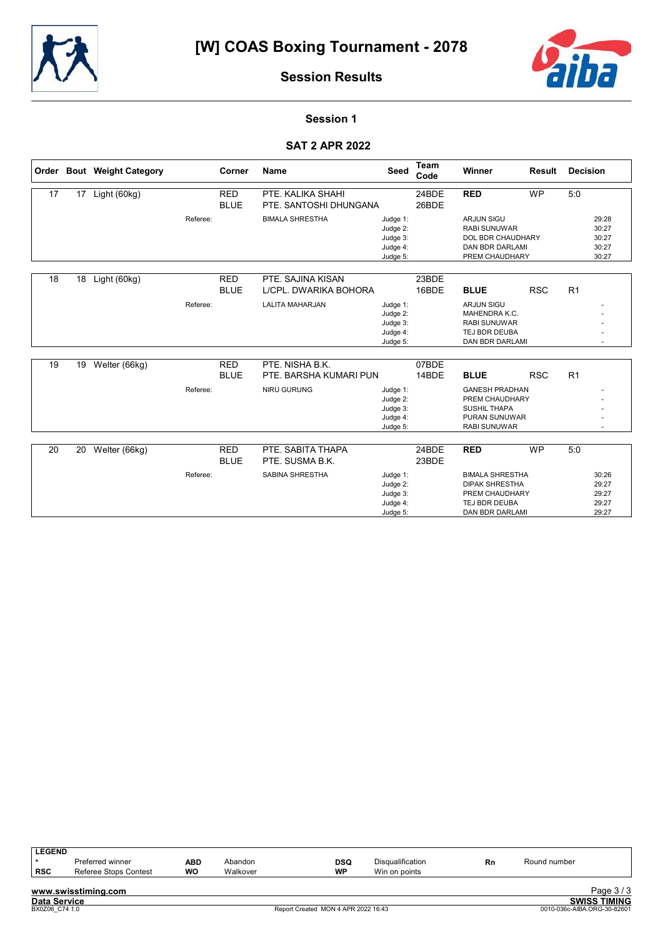



#### Session 1

#### SAT 2 APR 2022

|    |    | Order Bout Weight Category |          | Corner                    | <b>Name</b>                                 | <b>Seed</b>                                              | <b>Team</b><br>Code | Winner                                                                                                        | <b>Result</b> | <b>Decision</b>                           |
|----|----|----------------------------|----------|---------------------------|---------------------------------------------|----------------------------------------------------------|---------------------|---------------------------------------------------------------------------------------------------------------|---------------|-------------------------------------------|
| 17 | 17 | Light (60kg)               |          | <b>RED</b><br><b>BLUE</b> | PTE. KALIKA SHAHI<br>PTE. SANTOSHI DHUNGANA |                                                          | 24BDE<br>26BDE      | <b>RED</b>                                                                                                    | <b>WP</b>     | 5:0                                       |
|    |    |                            | Referee: |                           | <b>BIMALA SHRESTHA</b>                      | Judge 1:<br>Judge 2:<br>Judge 3:<br>Judge 4:<br>Judge 5: |                     | <b>ARJUN SIGU</b><br><b>RABI SUNUWAR</b><br>DOL BDR CHAUDHARY<br><b>DAN BDR DARLAMI</b><br>PREM CHAUDHARY     |               | 29:28<br>30:27<br>30:27<br>30:27<br>30:27 |
| 18 | 18 | Light (60kg)               |          | <b>RED</b><br><b>BLUE</b> | PTE, SAJINA KISAN<br>L/CPL. DWARIKA BOHORA  |                                                          | 23BDE<br>16BDE      | <b>BLUE</b>                                                                                                   | <b>RSC</b>    | R1                                        |
|    |    |                            | Referee: |                           | <b>LALITA MAHARJAN</b>                      | Judge 1:<br>Judge 2:<br>Judge 3:<br>Judge 4:<br>Judge 5: |                     | <b>ARJUN SIGU</b><br>MAHENDRA K.C.<br><b>RABI SUNUWAR</b><br>TEJ BDR DEUBA<br>DAN BDR DARLAMI                 |               |                                           |
| 19 | 19 | Welter (66kg)              |          | <b>RED</b><br><b>BLUE</b> | PTE. NISHA B.K.<br>PTE. BARSHA KUMARI PUN   |                                                          | 07BDE<br>14BDE      | <b>BLUE</b>                                                                                                   | <b>RSC</b>    | R1                                        |
|    |    |                            | Referee: |                           | NIRU GURUNG                                 | Judge 1:<br>Judge 2:<br>Judge 3:<br>Judge 4:<br>Judge 5: |                     | <b>GANESH PRADHAN</b><br>PREM CHAUDHARY<br><b>SUSHIL THAPA</b><br><b>PURAN SUNUWAR</b><br><b>RABI SUNUWAR</b> |               |                                           |
| 20 | 20 | Welter (66kg)              |          | <b>RED</b><br><b>BLUE</b> | PTE, SABITA THAPA<br>PTE. SUSMA B.K.        |                                                          | 24BDE<br>23BDE      | <b>RED</b>                                                                                                    | <b>WP</b>     | 5:0                                       |
|    |    |                            | Referee: |                           | <b>SABINA SHRESTHA</b>                      | Judge 1:<br>Judge 2:<br>Judge 3:<br>Judge 4:<br>Judge 5: |                     | <b>BIMALA SHRESTHA</b><br><b>DIPAK SHRESTHA</b><br>PREM CHAUDHARY<br>TEJ BDR DEUBA<br>DAN BDR DARLAMI         |               | 30:26<br>29:27<br>29:27<br>29:27<br>29:27 |

| <b>LEGEND</b>       |                       |           |          |            |                         |    |                     |
|---------------------|-----------------------|-----------|----------|------------|-------------------------|----|---------------------|
|                     | Preferred winner      | ABD       | Abandon  | <b>DSQ</b> | <b>Disqualification</b> | Rn | Round number        |
| ∣ RSC               | Referee Stops Contest | <b>WO</b> | Walkover | <b>WP</b>  | Win on points           |    |                     |
|                     | www.swisstiming.com   |           |          |            |                         |    | Page $3/3$          |
| <b>Data Service</b> |                       |           |          |            |                         |    | <b>SWISS TIMING</b> |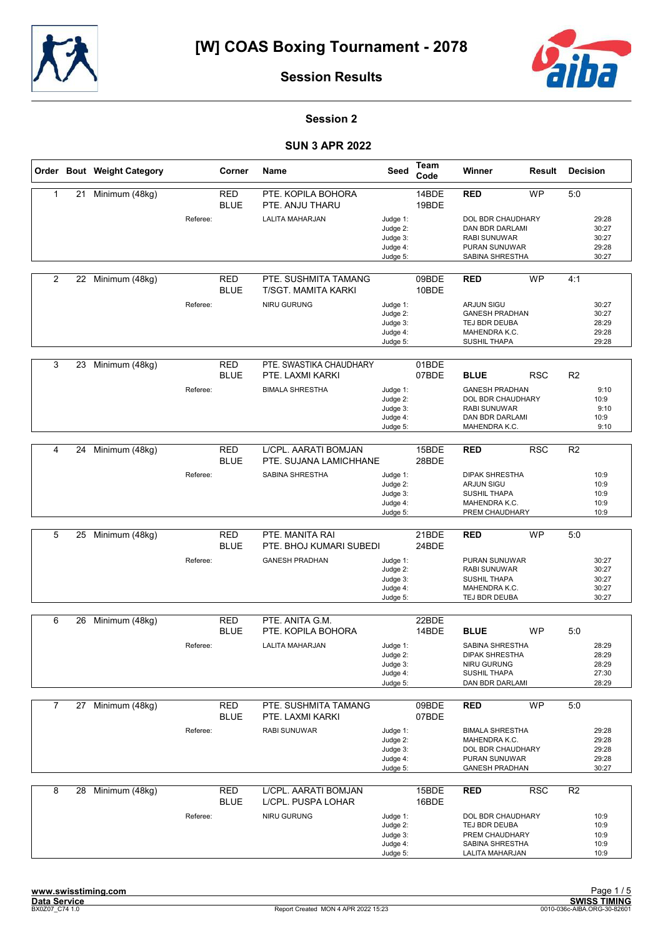



#### Session 2

|                |    | Order Bout Weight Category |          | Corner                    | Name                                               | Seed                                                     | Team<br>Code   | Winner                                                                                                   | Result     | <b>Decision</b> |                                           |
|----------------|----|----------------------------|----------|---------------------------|----------------------------------------------------|----------------------------------------------------------|----------------|----------------------------------------------------------------------------------------------------------|------------|-----------------|-------------------------------------------|
| $\mathbf{1}$   | 21 | Minimum (48kg)             |          | <b>RED</b><br><b>BLUE</b> | PTE. KOPILA BOHORA<br>PTE. ANJU THARU              |                                                          | 14BDE<br>19BDE | <b>RED</b>                                                                                               | <b>WP</b>  | 5:0             |                                           |
|                |    |                            | Referee: |                           | <b>LALITA MAHARJAN</b>                             | Judge 1:<br>Judge 2:<br>Judge 3:<br>Judge 4:<br>Judge 5: |                | DOL BDR CHAUDHARY<br>DAN BDR DARLAMI<br><b>RABI SUNUWAR</b><br>PURAN SUNUWAR<br>SABINA SHRESTHA          |            |                 | 29:28<br>30:27<br>30:27<br>29:28<br>30:27 |
|                |    |                            |          |                           |                                                    |                                                          |                |                                                                                                          |            |                 |                                           |
| $\overline{2}$ |    | 22 Minimum (48kg)          |          | <b>RED</b><br><b>BLUE</b> | PTE. SUSHMITA TAMANG<br><b>T/SGT. MAMITA KARKI</b> |                                                          | 09BDE<br>10BDE | <b>RED</b>                                                                                               | <b>WP</b>  | 4:1             |                                           |
|                |    |                            | Referee: |                           | NIRU GURUNG                                        | Judge 1:<br>Judge 2:<br>Judge 3:<br>Judge 4:             |                | <b>ARJUN SIGU</b><br><b>GANESH PRADHAN</b><br>TEJ BDR DEUBA<br>MAHENDRA K.C.                             |            |                 | 30:27<br>30:27<br>28:29<br>29:28          |
|                |    |                            |          |                           |                                                    | Judge 5:                                                 |                | SUSHIL THAPA                                                                                             |            |                 | 29:28                                     |
| 3              | 23 | Minimum (48kg)             |          | <b>RED</b><br><b>BLUE</b> | PTE. SWASTIKA CHAUDHARY<br>PTE. LAXMI KARKI        |                                                          | 01BDE<br>07BDE | <b>BLUE</b>                                                                                              | <b>RSC</b> | R <sub>2</sub>  |                                           |
|                |    |                            | Referee: |                           | <b>BIMALA SHRESTHA</b>                             | Judge 1:<br>Judge 2:<br>Judge 3:<br>Judge 4:<br>Judge 5: |                | <b>GANESH PRADHAN</b><br>DOL BDR CHAUDHARY<br><b>RABI SUNUWAR</b><br>DAN BDR DARLAMI<br>MAHENDRA K.C.    |            |                 | 9:10<br>10:9<br>9:10<br>10:9<br>9:10      |
|                |    |                            |          |                           |                                                    |                                                          |                |                                                                                                          |            |                 |                                           |
| 4              | 24 | Minimum (48kg)             |          | <b>RED</b><br><b>BLUE</b> | L/CPL. AARATI BOMJAN<br>PTE. SUJANA LAMICHHANE     |                                                          | 15BDE<br>28BDE | <b>RED</b>                                                                                               | <b>RSC</b> | R <sub>2</sub>  |                                           |
|                |    |                            | Referee: |                           | SABINA SHRESTHA                                    | Judge 1:<br>Judge 2:<br>Judge 3:<br>Judge 4:<br>Judge 5: |                | <b>DIPAK SHRESTHA</b><br><b>ARJUN SIGU</b><br><b>SUSHIL THAPA</b><br>MAHENDRA K.C.<br>PREM CHAUDHARY     |            |                 | 10:9<br>10:9<br>10:9<br>10:9<br>10:9      |
|                |    |                            |          |                           |                                                    |                                                          |                |                                                                                                          |            |                 |                                           |
| 5              | 25 | Minimum (48kg)             |          | <b>RED</b><br><b>BLUE</b> | PTE. MANITA RAI<br>PTE. BHOJ KUMARI SUBEDI         |                                                          | 21BDE<br>24BDE | <b>RED</b>                                                                                               | <b>WP</b>  | 5:0             |                                           |
|                |    |                            | Referee: |                           | <b>GANESH PRADHAN</b>                              | Judge 1:<br>Judge 2:<br>Judge 3:<br>Judge 4:<br>Judge 5: |                | PURAN SUNUWAR<br><b>RABI SUNUWAR</b><br><b>SUSHIL THAPA</b><br>MAHENDRA K.C.<br>TEJ BDR DEUBA            |            |                 | 30:27<br>30:27<br>30:27<br>30:27<br>30:27 |
| 6              | 26 | Minimum (48kg)             |          | <b>RED</b>                | PTE. ANITA G.M.                                    |                                                          | 22BDE          |                                                                                                          |            |                 |                                           |
|                |    |                            |          | <b>BLUE</b>               | PTE. KOPILA BOHORA                                 |                                                          | 14BDE          | <b>BLUE</b>                                                                                              | <b>WP</b>  | 5:0             |                                           |
|                |    |                            | Referee: |                           | <b>LALITA MAHARJAN</b>                             | Judge 1:<br>Judge 2:<br>Judge 3:<br>Judge 4:<br>Judge 5: |                | <b>SABINA SHRESTHA</b><br><b>DIPAK SHRESTHA</b><br>NIRU GURUNG<br><b>SUSHIL THAPA</b><br>DAN BDR DARLAMI |            |                 | 28:29<br>28:29<br>28:29<br>27:30<br>28:29 |
| $\overline{7}$ | 27 | Minimum (48kg)             |          | <b>RED</b>                | PTE. SUSHMITA TAMANG                               |                                                          | 09BDE          | <b>RED</b>                                                                                               | <b>WP</b>  | 5:0             |                                           |
|                |    |                            |          | <b>BLUE</b>               | PTE. LAXMI KARKI                                   |                                                          | 07BDE          |                                                                                                          |            |                 |                                           |
|                |    |                            | Referee: |                           | RABI SUNUWAR                                       | Judge 1:<br>Judge 2:<br>Judge 3:<br>Judge 4:<br>Judge 5: |                | <b>BIMALA SHRESTHA</b><br>MAHENDRA K.C.<br>DOL BDR CHAUDHARY<br>PURAN SUNUWAR<br><b>GANESH PRADHAN</b>   |            |                 | 29:28<br>29:28<br>29:28<br>29:28<br>30:27 |
| 8              |    | 28 Minimum (48kg)          |          | <b>RED</b>                | L/CPL. AARATI BOMJAN                               |                                                          | 15BDE          | <b>RED</b>                                                                                               | <b>RSC</b> | R <sub>2</sub>  |                                           |
|                |    |                            | Referee: | <b>BLUE</b>               | L/CPL. PUSPA LOHAR<br>NIRU GURUNG                  | Judge 1:<br>Judge 2:<br>Judge 3:<br>Judge 4:<br>Judge 5: | 16BDE          | DOL BDR CHAUDHARY<br>TEJ BDR DEUBA<br>PREM CHAUDHARY<br>SABINA SHRESTHA<br>LALITA MAHARJAN               |            |                 | 10:9<br>10:9<br>10:9<br>10:9<br>10:9      |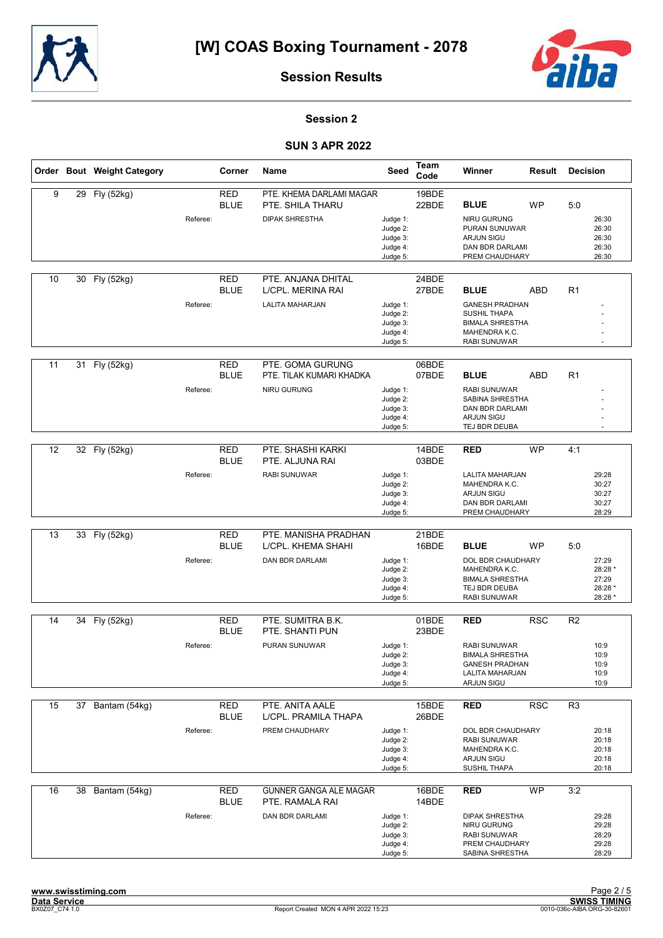



#### Session 2

|    |    | Order Bout Weight Category |          | Corner                    | Name                                         | Seed                                                     | Team<br>Code   | Winner                                                                                                  | Result     | <b>Decision</b> |                                                 |
|----|----|----------------------------|----------|---------------------------|----------------------------------------------|----------------------------------------------------------|----------------|---------------------------------------------------------------------------------------------------------|------------|-----------------|-------------------------------------------------|
| 9  |    | 29 Fly (52kg)              |          | <b>RED</b><br><b>BLUE</b> | PTE. KHEMA DARLAMI MAGAR<br>PTE. SHILA THARU |                                                          | 19BDE<br>22BDE | <b>BLUE</b>                                                                                             | <b>WP</b>  | 5:0             |                                                 |
|    |    |                            | Referee: |                           | <b>DIPAK SHRESTHA</b>                        | Judge 1:<br>Judge 2:<br>Judge 3:<br>Judge 4:<br>Judge 5: |                | NIRU GURUNG<br>PURAN SUNUWAR<br><b>ARJUN SIGU</b><br>DAN BDR DARLAMI<br>PREM CHAUDHARY                  |            |                 | 26:30<br>26:30<br>26:30<br>26:30<br>26:30       |
| 10 | 30 | Fly (52kg)                 |          | <b>RED</b><br><b>BLUE</b> | PTE. ANJANA DHITAL<br>L/CPL. MERINA RAI      |                                                          | 24BDE<br>27BDE | <b>BLUE</b>                                                                                             | <b>ABD</b> | R1              |                                                 |
|    |    |                            | Referee: |                           | <b>LALITA MAHARJAN</b>                       | Judge 1:<br>Judge 2:<br>Judge 3:<br>Judge 4:<br>Judge 5: |                | <b>GANESH PRADHAN</b><br><b>SUSHIL THAPA</b><br><b>BIMALA SHRESTHA</b><br>MAHENDRA K.C.<br>RABI SUNUWAR |            |                 |                                                 |
| 11 | 31 | Fly (52kg)                 |          | <b>RED</b><br><b>BLUE</b> | PTE. GOMA GURUNG<br>PTE. TILAK KUMARI KHADKA |                                                          | 06BDE<br>07BDE | <b>BLUE</b>                                                                                             | <b>ABD</b> | R1              |                                                 |
|    |    |                            | Referee: |                           | NIRU GURUNG                                  | Judge 1:<br>Judge 2:<br>Judge 3:<br>Judge 4:<br>Judge 5: |                | <b>RABI SUNUWAR</b><br>SABINA SHRESTHA<br><b>DAN BDR DARLAMI</b><br><b>ARJUN SIGU</b><br>TEJ BDR DEUBA  |            |                 |                                                 |
|    |    |                            |          |                           |                                              |                                                          |                |                                                                                                         |            |                 |                                                 |
| 12 | 32 | Fly (52kg)                 |          | <b>RED</b><br><b>BLUE</b> | PTE. SHASHI KARKI<br>PTE. ALJUNA RAI         |                                                          | 14BDE<br>03BDE | <b>RED</b>                                                                                              | <b>WP</b>  | 4:1             |                                                 |
|    |    |                            | Referee: |                           | RABI SUNUWAR                                 | Judge 1:<br>Judge 2:<br>Judge 3:<br>Judge 4:<br>Judge 5: |                | <b>LALITA MAHARJAN</b><br>MAHENDRA K.C.<br><b>ARJUN SIGU</b><br>DAN BDR DARLAMI<br>PREM CHAUDHARY       |            |                 | 29:28<br>30:27<br>30:27<br>30:27<br>28:29       |
|    |    |                            |          |                           |                                              |                                                          |                |                                                                                                         |            |                 |                                                 |
| 13 | 33 | Fly (52kg)                 |          | <b>RED</b><br><b>BLUE</b> | PTE. MANISHA PRADHAN<br>L/CPL. KHEMA SHAHI   |                                                          | 21BDE<br>16BDE | <b>BLUE</b>                                                                                             | <b>WP</b>  | 5:0             |                                                 |
|    |    |                            | Referee: |                           | DAN BDR DARLAMI                              | Judge 1:<br>Judge 2:<br>Judge 3:<br>Judge 4:<br>Judge 5: |                | DOL BDR CHAUDHARY<br>MAHENDRA K.C.<br><b>BIMALA SHRESTHA</b><br>TEJ BDR DEUBA<br>RABI SUNUWAR           |            |                 | 27:29<br>28:28 *<br>27:29<br>28:28 *<br>28:28 * |
| 14 | 34 | Fly (52kg)                 |          | <b>RED</b>                | PTE. SUMITRA B.K.                            |                                                          | 01BDE          | <b>RED</b>                                                                                              | <b>RSC</b> | R <sub>2</sub>  |                                                 |
|    |    |                            |          | <b>BLUE</b>               | PTE. SHANTI PUN                              |                                                          | 23BDE          |                                                                                                         |            |                 |                                                 |
|    |    |                            | Referee: |                           | PURAN SUNUWAR                                | Judge 1:<br>Judge 2:<br>Judge 3:<br>Judge 4:<br>Judge 5: |                | <b>RABI SUNUWAR</b><br><b>BIMALA SHRESTHA</b><br><b>GANESH PRADHAN</b><br>LALITA MAHARJAN<br>ARJUN SIGU |            |                 | 10:9<br>10:9<br>10:9<br>10:9<br>10:9            |
| 15 | 37 | Bantam (54kg)              |          | <b>RED</b>                | PTE. ANITA AALE                              |                                                          | 15BDE          | <b>RED</b>                                                                                              | <b>RSC</b> | R <sub>3</sub>  |                                                 |
|    |    |                            |          | <b>BLUE</b>               | L/CPL. PRAMILA THAPA                         |                                                          | 26BDE          |                                                                                                         |            |                 |                                                 |
|    |    |                            | Referee: |                           | PREM CHAUDHARY                               | Judge 1:<br>Judge 2:<br>Judge 3:<br>Judge 4:<br>Judge 5: |                | DOL BDR CHAUDHARY<br>RABI SUNUWAR<br>MAHENDRA K.C.<br><b>ARJUN SIGU</b><br>SUSHIL THAPA                 |            |                 | 20:18<br>20:18<br>20:18<br>20:18<br>20:18       |
| 16 | 38 | Bantam (54kg)              |          | <b>RED</b><br><b>BLUE</b> | GUNNER GANGA ALE MAGAR<br>PTE. RAMALA RAI    |                                                          | 16BDE<br>14BDE | <b>RED</b>                                                                                              | <b>WP</b>  | 3:2             |                                                 |
|    |    |                            | Referee: |                           | DAN BDR DARLAMI                              | Judge 1:<br>Judge 2:<br>Judge 3:<br>Judge 4:<br>Judge 5: |                | <b>DIPAK SHRESTHA</b><br>NIRU GURUNG<br><b>RABI SUNUWAR</b><br>PREM CHAUDHARY<br>SABINA SHRESTHA        |            |                 | 29:28<br>29:28<br>28:29<br>29:28<br>28:29       |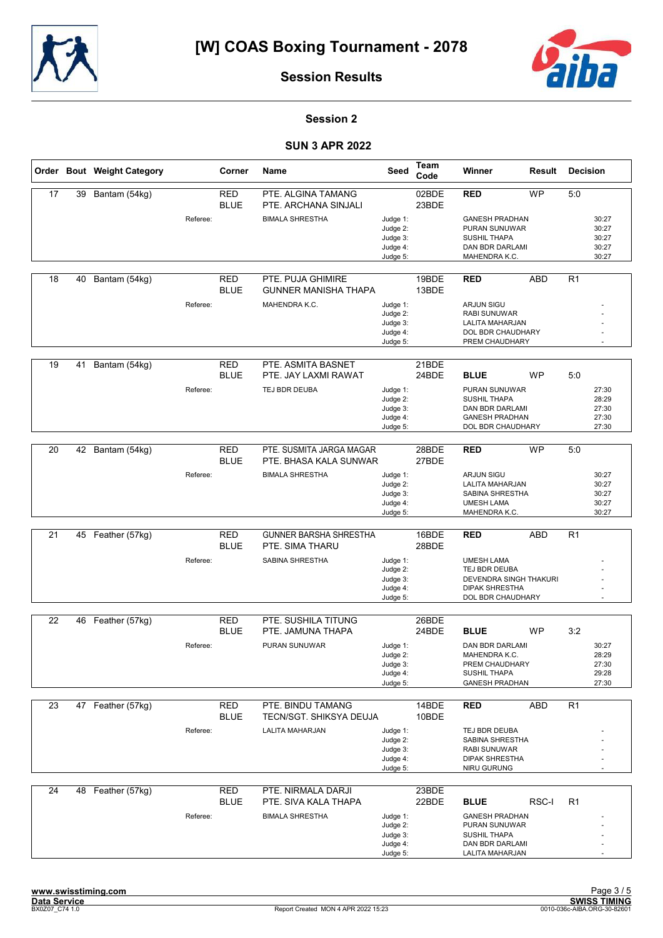



#### Session 2

|    |    | Order Bout Weight Category |          | Corner                    | Name                                               | Seed                                                     | Team<br>Code   | Winner                                                                                                             | Result     | <b>Decision</b> |                                           |
|----|----|----------------------------|----------|---------------------------|----------------------------------------------------|----------------------------------------------------------|----------------|--------------------------------------------------------------------------------------------------------------------|------------|-----------------|-------------------------------------------|
| 17 | 39 | Bantam (54kg)              |          | <b>RED</b><br><b>BLUE</b> | PTE. ALGINA TAMANG<br>PTE. ARCHANA SINJALI         |                                                          | 02BDE<br>23BDE | <b>RED</b>                                                                                                         | <b>WP</b>  | 5:0             |                                           |
|    |    |                            | Referee: |                           | <b>BIMALA SHRESTHA</b>                             | Judge 1:<br>Judge 2:<br>Judge 3:<br>Judge 4:<br>Judge 5: |                | <b>GANESH PRADHAN</b><br><b>PURAN SUNUWAR</b><br><b>SUSHIL THAPA</b><br>DAN BDR DARLAMI<br>MAHENDRA K.C.           |            |                 | 30:27<br>30:27<br>30:27<br>30:27<br>30:27 |
| 18 | 40 | Bantam (54kg)              |          | <b>RED</b><br><b>BLUE</b> | PTE. PUJA GHIMIRE<br><b>GUNNER MANISHA THAPA</b>   |                                                          | 19BDE<br>13BDE | <b>RED</b>                                                                                                         | ABD        | R <sub>1</sub>  |                                           |
|    |    |                            | Referee: |                           | MAHENDRA K.C.                                      | Judge 1:<br>Judge 2:<br>Judge 3:<br>Judge 4:<br>Judge 5: |                | <b>ARJUN SIGU</b><br><b>RABI SUNUWAR</b><br>LALITA MAHARJAN<br>DOL BDR CHAUDHARY<br>PREM CHAUDHARY                 |            |                 |                                           |
| 19 | 41 | Bantam (54kg)              |          | <b>RED</b><br><b>BLUE</b> | PTE. ASMITA BASNET<br>PTE. JAY LAXMI RAWAT         |                                                          | 21BDE<br>24BDE | <b>BLUE</b>                                                                                                        | <b>WP</b>  | 5:0             |                                           |
|    |    |                            | Referee: |                           | TEJ BDR DEUBA                                      | Judge 1:<br>Judge 2:<br>Judge 3:<br>Judge 4:<br>Judge 5: |                | <b>PURAN SUNUWAR</b><br><b>SUSHIL THAPA</b><br>DAN BDR DARLAMI<br><b>GANESH PRADHAN</b><br>DOL BDR CHAUDHARY       |            |                 | 27:30<br>28:29<br>27:30<br>27:30<br>27:30 |
| 20 |    | 42 Bantam (54kg)           |          | <b>RED</b><br><b>BLUE</b> | PTE. SUSMITA JARGA MAGAR<br>PTE. BHASA KALA SUNWAR |                                                          | 28BDE<br>27BDE | <b>RED</b>                                                                                                         | <b>WP</b>  | 5:0             |                                           |
|    |    |                            | Referee: |                           | <b>BIMALA SHRESTHA</b>                             | Judge 1:<br>Judge 2:<br>Judge 3:<br>Judge 4:<br>Judge 5: |                | <b>ARJUN SIGU</b><br>LALITA MAHARJAN<br>SABINA SHRESTHA<br><b>UMESH LAMA</b><br>MAHENDRA K.C.                      |            |                 | 30:27<br>30:27<br>30:27<br>30:27<br>30:27 |
| 21 | 45 | Feather (57kg)             |          | <b>RED</b><br><b>BLUE</b> | <b>GUNNER BARSHA SHRESTHA</b><br>PTE. SIMA THARU   |                                                          | 16BDE<br>28BDE | <b>RED</b>                                                                                                         | <b>ABD</b> | R1              |                                           |
|    |    |                            | Referee: |                           | SABINA SHRESTHA                                    | Judge 1:<br>Judge 2:<br>Judge 3:<br>Judge 4:<br>Judge 5: |                | <b>UMESH LAMA</b><br>TEJ BDR DEUBA<br>DEVENDRA SINGH THAKURI<br><b>DIPAK SHRESTHA</b><br>DOL BDR CHAUDHARY         |            |                 |                                           |
|    |    |                            |          | <b>RED</b>                | PTE. SUSHILA TITUNG                                |                                                          |                |                                                                                                                    |            |                 |                                           |
| 22 | 46 | Feather (57kg)             |          | <b>BLUE</b>               | PTE. JAMUNA THAPA                                  |                                                          | 26BDE<br>24BDE | <b>BLUE</b>                                                                                                        | <b>WP</b>  | 3:2             |                                           |
|    |    |                            | Referee: |                           | PURAN SUNUWAR                                      | Judge 1:<br>Judge 2:<br>Judge 3:<br>Judge 4:<br>Judge 5: |                | <b>DAN BDR DARLAMI</b><br>MAHENDRA K.C.<br>PREM CHAUDHARY<br>SUSHIL THAPA<br><b>GANESH PRADHAN</b>                 |            |                 | 30:27<br>28:29<br>27:30<br>29:28<br>27:30 |
| 23 |    | 47 Feather (57kg)          |          | <b>RED</b>                | PTE. BINDU TAMANG                                  |                                                          | 14BDE          | <b>RED</b>                                                                                                         | <b>ABD</b> | R1              |                                           |
|    |    |                            |          | <b>BLUE</b>               | TECN/SGT. SHIKSYA DEUJA                            |                                                          | 10BDE          |                                                                                                                    |            |                 |                                           |
|    |    |                            | Referee: |                           | LALITA MAHARJAN                                    | Judge 1:<br>Judge 2:<br>Judge 3:<br>Judge 4:<br>Judge 5: |                | TEJ BDR DEUBA<br>SABINA SHRESTHA<br>RABI SUNUWAR<br><b>DIPAK SHRESTHA</b><br>NIRU GURUNG                           |            |                 |                                           |
| 24 |    | 48 Feather (57kg)          |          | <b>RED</b>                | PTE. NIRMALA DARJI                                 |                                                          | 23BDE          |                                                                                                                    |            |                 |                                           |
|    |    |                            | Referee: | <b>BLUE</b>               | PTE. SIVA KALA THAPA<br><b>BIMALA SHRESTHA</b>     | Judge 1:<br>Judge 2:<br>Judge 3:<br>Judge 4:<br>Judge 5: | 22BDE          | <b>BLUE</b><br><b>GANESH PRADHAN</b><br>PURAN SUNUWAR<br><b>SUSHIL THAPA</b><br>DAN BDR DARLAMI<br>LALITA MAHARJAN | RSC-I      | R <sub>1</sub>  |                                           |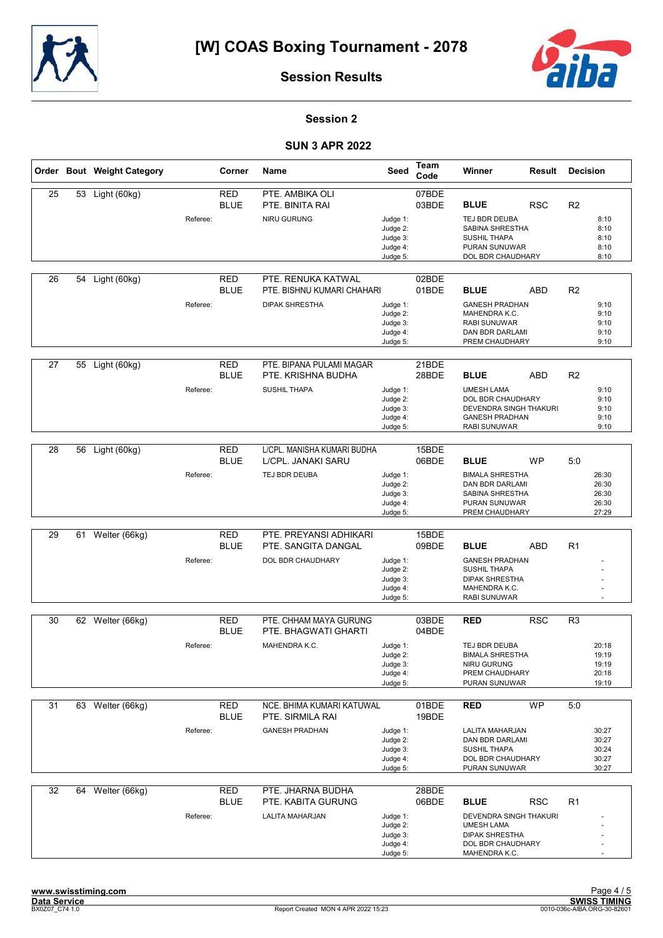



#### Session 2

|    |    | Order Bout Weight Category |          | Corner                    | Name                                             | Seed                 | Team<br>Code   | Winner                                     | Result     | <b>Decision</b> |                      |
|----|----|----------------------------|----------|---------------------------|--------------------------------------------------|----------------------|----------------|--------------------------------------------|------------|-----------------|----------------------|
| 25 |    | 53 Light (60kg)            |          | <b>RED</b><br><b>BLUE</b> | PTE. AMBIKA OLI<br>PTE. BINITA RAI               |                      | 07BDE<br>03BDE | <b>BLUE</b>                                | <b>RSC</b> | R <sub>2</sub>  |                      |
|    |    |                            | Referee: |                           | <b>NIRU GURUNG</b>                               | Judge 1:             |                | TEJ BDR DEUBA                              |            |                 | 8:10                 |
|    |    |                            |          |                           |                                                  | Judge 2:             |                | <b>SABINA SHRESTHA</b>                     |            |                 | 8:10                 |
|    |    |                            |          |                           |                                                  | Judge 3:             |                | <b>SUSHIL THAPA</b>                        |            |                 | 8:10                 |
|    |    |                            |          |                           |                                                  | Judge 4:             |                | PURAN SUNUWAR                              |            |                 | 8:10                 |
|    |    |                            |          |                           |                                                  | Judge 5:             |                | DOL BDR CHAUDHARY                          |            |                 | 8:10                 |
| 26 | 54 | Light (60kg)               |          | <b>RED</b><br><b>BLUE</b> | PTE. RENUKA KATWAL<br>PTE. BISHNU KUMARI CHAHARI |                      | 02BDE<br>01BDE | <b>BLUE</b>                                | <b>ABD</b> | R <sub>2</sub>  |                      |
|    |    |                            | Referee: |                           | <b>DIPAK SHRESTHA</b>                            | Judge 1:             |                | <b>GANESH PRADHAN</b>                      |            |                 | 9:10                 |
|    |    |                            |          |                           |                                                  | Judge 2:             |                | MAHENDRA K.C.                              |            |                 | 9:10                 |
|    |    |                            |          |                           |                                                  | Judge 3:             |                | <b>RABI SUNUWAR</b>                        |            |                 | 9:10                 |
|    |    |                            |          |                           |                                                  | Judge 4:             |                | DAN BDR DARLAMI                            |            |                 | 9:10                 |
|    |    |                            |          |                           |                                                  | Judge 5:             |                | PREM CHAUDHARY                             |            |                 | 9:10                 |
|    |    |                            |          |                           |                                                  |                      |                |                                            |            |                 |                      |
| 27 | 55 | Light (60kg)               |          | <b>RED</b><br><b>BLUE</b> | PTE. BIPANA PULAMI MAGAR<br>PTE. KRISHNA BUDHA   |                      | 21BDE<br>28BDE | <b>BLUE</b>                                | <b>ABD</b> | R <sub>2</sub>  |                      |
|    |    |                            | Referee: |                           | SUSHIL THAPA                                     | Judge 1:             |                | <b>UMESH LAMA</b>                          |            |                 | 9:10                 |
|    |    |                            |          |                           |                                                  | Judge 2:             |                | DOL BDR CHAUDHARY                          |            |                 | 9:10                 |
|    |    |                            |          |                           |                                                  | Judge 3:             |                | DEVENDRA SINGH THAKURI                     |            |                 | 9:10                 |
|    |    |                            |          |                           |                                                  | Judge 4:             |                | <b>GANESH PRADHAN</b>                      |            |                 | 9:10                 |
|    |    |                            |          |                           |                                                  | Judge 5:             |                | <b>RABI SUNUWAR</b>                        |            |                 | 9:10                 |
| 28 | 56 | Light (60kg)               |          | <b>RED</b>                | L/CPL. MANISHA KUMARI BUDHA                      |                      | 15BDE          |                                            |            |                 |                      |
|    |    |                            |          | <b>BLUE</b>               | L/CPL. JANAKI SARU                               |                      | 06BDE          | <b>BLUE</b>                                | <b>WP</b>  | 5:0             |                      |
|    |    |                            | Referee: |                           | TEJ BDR DEUBA                                    | Judge 1:             |                | <b>BIMALA SHRESTHA</b>                     |            |                 | 26:30                |
|    |    |                            |          |                           |                                                  | Judge 2:             |                | DAN BDR DARLAMI                            |            |                 | 26:30                |
|    |    |                            |          |                           |                                                  | Judge 3:             |                | SABINA SHRESTHA                            |            |                 | 26:30<br>26:30       |
|    |    |                            |          |                           |                                                  | Judge 4:<br>Judge 5: |                | PURAN SUNUWAR<br>PREM CHAUDHARY            |            |                 | 27:29                |
|    |    |                            |          |                           |                                                  |                      |                |                                            |            |                 |                      |
| 29 | 61 | Welter (66kg)              |          | <b>RED</b>                | PTE. PREYANSI ADHIKARI                           |                      | 15BDE          |                                            |            |                 |                      |
|    |    |                            |          | <b>BLUE</b>               | PTE. SANGITA DANGAL                              |                      | 09BDE          | <b>BLUE</b>                                | <b>ABD</b> | R <sub>1</sub>  |                      |
|    |    |                            | Referee: |                           | DOL BDR CHAUDHARY                                | Judge 1:             |                | <b>GANESH PRADHAN</b>                      |            |                 |                      |
|    |    |                            |          |                           |                                                  | Judge 2:             |                | <b>SUSHIL THAPA</b>                        |            |                 |                      |
|    |    |                            |          |                           |                                                  | Judge 3:             |                | <b>DIPAK SHRESTHA</b>                      |            |                 |                      |
|    |    |                            |          |                           |                                                  | Judge 4:             |                | MAHENDRA K.C.                              |            |                 |                      |
|    |    |                            |          |                           |                                                  | Judge 5:             |                | <b>RABI SUNUWAR</b>                        |            |                 |                      |
| 30 |    |                            |          | <b>RED</b>                | PTE. CHHAM MAYA GURUNG                           |                      | 03BDE          | <b>RED</b>                                 | <b>RSC</b> | R <sub>3</sub>  |                      |
|    | 62 | Welter (66kg)              |          | <b>BLUE</b>               | PTE. BHAGWATI GHARTI                             |                      | 04BDE          |                                            |            |                 |                      |
|    |    |                            |          |                           | MAHENDRA K.C.                                    |                      |                |                                            |            |                 |                      |
|    |    |                            | Referee: |                           |                                                  | Judge 1:<br>Judge 2: |                | TEJ BDR DEUBA<br><b>BIMALA SHRESTHA</b>    |            |                 | 20:18<br>19:19       |
|    |    |                            |          |                           |                                                  | Judge 3:             |                | NIRU GURUNG                                |            |                 | 19:19                |
|    |    |                            |          |                           |                                                  | Judge 4:             |                | PREM CHAUDHARY                             |            |                 | 20:18                |
|    |    |                            |          |                           |                                                  | Judge 5:             |                | PURAN SUNUWAR                              |            |                 | 19:19                |
|    |    |                            |          |                           |                                                  |                      |                |                                            |            |                 |                      |
| 31 |    | 63 Welter (66kg)           |          | <b>RED</b>                | NCE. BHIMA KUMARI KATUWAL                        |                      | 01BDE          | <b>RED</b>                                 | <b>WP</b>  | 5:0             |                      |
|    |    |                            |          | <b>BLUE</b>               | PTE. SIRMILA RAI                                 |                      | 19BDE          |                                            |            |                 |                      |
|    |    |                            | Referee: |                           | <b>GANESH PRADHAN</b>                            | Judge 1:             |                | <b>LALITA MAHARJAN</b>                     |            |                 | 30:27                |
|    |    |                            |          |                           |                                                  | Judge 2:             |                | DAN BDR DARLAMI                            |            |                 | 30:27                |
|    |    |                            |          |                           |                                                  | Judge 3:<br>Judge 4: |                | <b>SUSHIL THAPA</b><br>DOL BDR CHAUDHARY   |            |                 | 30:24<br>30:27       |
|    |    |                            |          |                           |                                                  | Judge 5:             |                | PURAN SUNUWAR                              |            |                 | 30:27                |
|    |    |                            |          |                           |                                                  |                      |                |                                            |            |                 |                      |
| 32 | 64 | Welter (66kg)              |          | <b>RED</b>                | PTE. JHARNA BUDHA                                |                      | 28BDE          |                                            |            |                 |                      |
|    |    |                            |          | <b>BLUE</b>               | PTE. KABITA GURUNG                               |                      | 06BDE          | <b>BLUE</b>                                | <b>RSC</b> | R <sub>1</sub>  |                      |
|    |    |                            | Referee: |                           | <b>LALITA MAHARJAN</b>                           | Judge 1:             |                | DEVENDRA SINGH THAKURI                     |            |                 |                      |
|    |    |                            |          |                           |                                                  | Judge 2:             |                | <b>UMESH LAMA</b>                          |            |                 |                      |
|    |    |                            |          |                           |                                                  | Judge 3:<br>Judge 4: |                | <b>DIPAK SHRESTHA</b><br>DOL BDR CHAUDHARY |            |                 |                      |
|    |    |                            |          |                           |                                                  | Judge 5:             |                | MAHENDRA K.C.                              |            |                 | $\ddot{\phantom{1}}$ |
|    |    |                            |          |                           |                                                  |                      |                |                                            |            |                 |                      |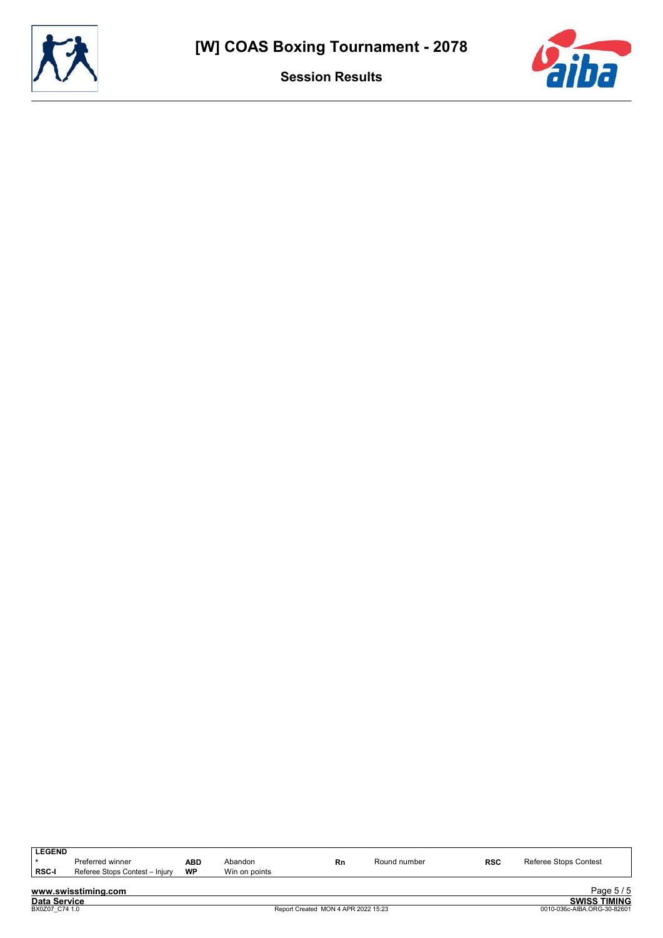



| <b>LEGEND</b><br><b>RSC-I</b> | Preferred winner<br>Referee Stops Contest - Injury | <b>ABD</b><br><b>WP</b> | Abandon<br>Win on points | Rn | Round number | <b>RSC</b> | Referee Stops Contest |
|-------------------------------|----------------------------------------------------|-------------------------|--------------------------|----|--------------|------------|-----------------------|
|                               | www.swisstiming.com                                |                         |                          |    |              |            | Page 5/5              |
| <b>Data Service</b>           |                                                    |                         |                          |    |              |            | <b>SWISS TIMING</b>   |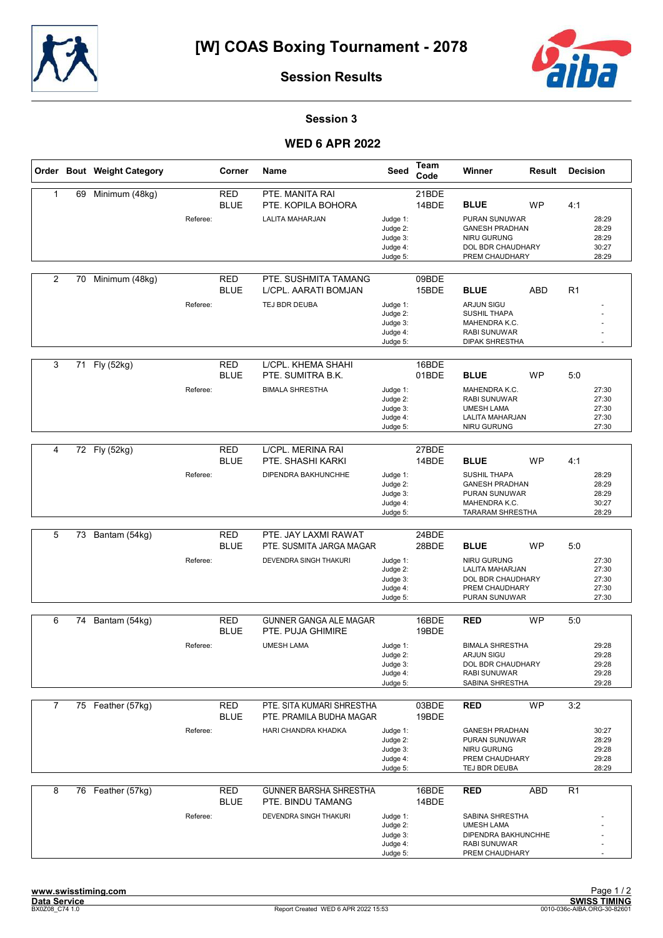



#### Session 3

#### **WED 6 APR 2022**

|                |    | Order Bout Weight Category |          | Corner                    | <b>Name</b>                                           | Seed                                                     | Team<br>Code   | Winner                                                                                                     | Result     | <b>Decision</b> |                                           |
|----------------|----|----------------------------|----------|---------------------------|-------------------------------------------------------|----------------------------------------------------------|----------------|------------------------------------------------------------------------------------------------------------|------------|-----------------|-------------------------------------------|
| $\mathbf{1}$   | 69 | Minimum (48kg)             |          | <b>RED</b><br><b>BLUE</b> | PTE. MANITA RAI<br>PTE. KOPILA BOHORA                 |                                                          | 21BDE<br>14BDE | <b>BLUE</b>                                                                                                | <b>WP</b>  | 4:1             |                                           |
|                |    |                            | Referee: |                           | LALITA MAHARJAN                                       | Judge 1:<br>Judge 2:<br>Judge 3:<br>Judge 4:<br>Judge 5: |                | PURAN SUNUWAR<br><b>GANESH PRADHAN</b><br><b>NIRU GURUNG</b><br>DOL BDR CHAUDHARY<br>PREM CHAUDHARY        |            |                 | 28:29<br>28:29<br>28:29<br>30:27<br>28:29 |
| $\overline{2}$ | 70 | Minimum (48kg)             |          | <b>RED</b><br><b>BLUE</b> | PTE. SUSHMITA TAMANG<br>L/CPL. AARATI BOMJAN          |                                                          | 09BDE<br>15BDE | <b>BLUE</b>                                                                                                | <b>ABD</b> | R <sub>1</sub>  |                                           |
|                |    |                            | Referee: |                           | TEJ BDR DEUBA                                         | Judge 1:<br>Judge 2:<br>Judge 3:<br>Judge 4:<br>Judge 5: |                | <b>ARJUN SIGU</b><br><b>SUSHIL THAPA</b><br>MAHENDRA K.C.<br><b>RABI SUNUWAR</b><br><b>DIPAK SHRESTHA</b>  |            |                 |                                           |
| 3              | 71 | Fly (52kg)                 |          | <b>RED</b><br><b>BLUE</b> | L/CPL. KHEMA SHAHI<br>PTE. SUMITRA B.K.               |                                                          | 16BDE<br>01BDE | <b>BLUE</b>                                                                                                | <b>WP</b>  | 5:0             |                                           |
|                |    |                            | Referee: |                           | <b>BIMALA SHRESTHA</b>                                | Judge 1:<br>Judge 2:<br>Judge 3:<br>Judge 4:<br>Judge 5: |                | MAHENDRA K.C.<br><b>RABI SUNUWAR</b><br><b>UMESH LAMA</b><br>LALITA MAHARJAN<br><b>NIRU GURUNG</b>         |            |                 | 27:30<br>27:30<br>27:30<br>27:30<br>27:30 |
|                |    |                            |          |                           |                                                       |                                                          |                |                                                                                                            |            |                 |                                           |
| 4              |    | 72 Fly (52kg)              |          | <b>RED</b><br><b>BLUE</b> | L/CPL. MERINA RAI<br>PTE. SHASHI KARKI                |                                                          | 27BDE<br>14BDE | <b>BLUE</b>                                                                                                | <b>WP</b>  | 4:1             |                                           |
|                |    |                            | Referee: |                           | DIPENDRA BAKHUNCHHE                                   | Judge 1:<br>Judge 2:<br>Judge 3:<br>Judge 4:<br>Judge 5: |                | <b>SUSHIL THAPA</b><br><b>GANESH PRADHAN</b><br>PURAN SUNUWAR<br>MAHENDRA K.C.<br><b>TARARAM SHRESTHA</b>  |            |                 | 28:29<br>28:29<br>28:29<br>30:27<br>28:29 |
|                |    |                            |          |                           |                                                       |                                                          |                |                                                                                                            |            |                 |                                           |
| 5              | 73 | Bantam (54kg)              |          | <b>RED</b><br><b>BLUE</b> | PTE. JAY LAXMI RAWAT<br>PTE. SUSMITA JARGA MAGAR      |                                                          | 24BDE<br>28BDE | <b>BLUE</b>                                                                                                | <b>WP</b>  | 5:0             |                                           |
|                |    |                            | Referee: |                           | DEVENDRA SINGH THAKURI                                | Judge 1:<br>Judge 2:<br>Judge 3:<br>Judge 4:<br>Judge 5: |                | <b>NIRU GURUNG</b><br>LALITA MAHARJAN<br>DOL BDR CHAUDHARY<br>PREM CHAUDHARY<br>PURAN SUNUWAR              |            |                 | 27:30<br>27:30<br>27:30<br>27:30<br>27:30 |
| 6              | 74 | Bantam (54kg)              |          | <b>RED</b><br><b>BLUE</b> | <b>GUNNER GANGA ALE MAGAR</b><br>PTE. PUJA GHIMIRE    |                                                          | 16BDE<br>19BDE | <b>RED</b>                                                                                                 | <b>WP</b>  | 5:0             |                                           |
|                |    |                            | Referee: |                           | <b>UMESH LAMA</b>                                     | Judge 1:<br>Judge 2:<br>Judge 3:<br>Judge 4:<br>Judge 5: |                | <b>BIMALA SHRESTHA</b><br><b>ARJUN SIGU</b><br>DOL BDR CHAUDHARY<br><b>RABI SUNUWAR</b><br>SABINA SHRESTHA |            |                 | 29:28<br>29:28<br>29:28<br>29:28<br>29:28 |
| $\overline{7}$ |    | 75 Feather (57kg)          |          | <b>RED</b><br><b>BLUE</b> | PTE. SITA KUMARI SHRESTHA<br>PTE. PRAMILA BUDHA MAGAR |                                                          | 03BDE<br>19BDE | <b>RED</b>                                                                                                 | <b>WP</b>  | 3:2             |                                           |
|                |    |                            | Referee: |                           | HARI CHANDRA KHADKA                                   | Judge 1:<br>Judge 2:<br>Judge 3:<br>Judge 4:<br>Judge 5: |                | <b>GANESH PRADHAN</b><br>PURAN SUNUWAR<br><b>NIRU GURUNG</b><br>PREM CHAUDHARY<br>TEJ BDR DEUBA            |            |                 | 30:27<br>28:29<br>29:28<br>29:28<br>28:29 |
| 8              |    | 76 Feather (57kg)          |          | <b>RED</b><br><b>BLUE</b> | <b>GUNNER BARSHA SHRESTHA</b><br>PTE. BINDU TAMANG    |                                                          | 16BDE<br>14BDE | <b>RED</b>                                                                                                 | <b>ABD</b> | R <sub>1</sub>  |                                           |
|                |    |                            | Referee: |                           | DEVENDRA SINGH THAKURI                                | Judge 1:<br>Judge 2:<br>Judge 3:<br>Judge 4:<br>Judge 5: |                | SABINA SHRESTHA<br><b>UMESH LAMA</b><br>DIPENDRA BAKHUNCHHE<br><b>RABI SUNUWAR</b><br>PREM CHAUDHARY       |            |                 |                                           |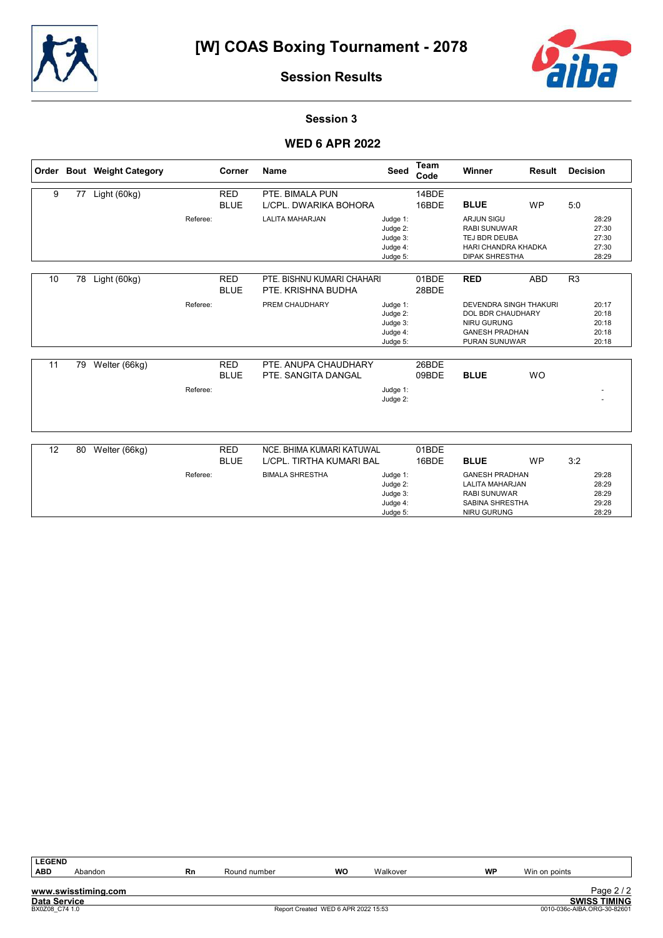



28:29

Session Results

#### Session 3

#### **WED 6 APR 2022**

|    |    | Order Bout Weight Category |          | Corner                    | <b>Name</b>                                           | Seed                                                     | <b>Team</b><br>Code | Winner                                                                                                                           | Result     | <b>Decision</b>                           |  |
|----|----|----------------------------|----------|---------------------------|-------------------------------------------------------|----------------------------------------------------------|---------------------|----------------------------------------------------------------------------------------------------------------------------------|------------|-------------------------------------------|--|
| 9  | 77 | Light (60kg)               |          | <b>RED</b><br><b>BLUE</b> | PTE. BIMALA PUN<br>LICPL. DWARIKA BOHORA              |                                                          | 14BDE<br>16BDE      | <b>BLUE</b>                                                                                                                      | <b>WP</b>  | 5:0                                       |  |
|    |    |                            | Referee: |                           | <b>LALITA MAHARJAN</b>                                | Judge 1:<br>Judge 2:<br>Judge 3:<br>Judge 4:<br>Judge 5: |                     | <b>ARJUN SIGU</b><br><b>RABI SUNUWAR</b><br>TEJ BDR DEUBA<br><b>HARI CHANDRA KHADKA</b><br><b>DIPAK SHRESTHA</b>                 |            | 28:29<br>27:30<br>27:30<br>27:30<br>28:29 |  |
| 10 | 78 | Light (60kg)               |          | <b>RED</b><br><b>BLUE</b> | PTE. BISHNU KUMARI CHAHARI<br>PTE, KRISHNA BUDHA      |                                                          | 01BDE<br>28BDE      | <b>RED</b>                                                                                                                       | <b>ABD</b> | R <sub>3</sub>                            |  |
|    |    |                            | Referee: |                           | PREM CHAUDHARY                                        | Judge 1:<br>Judge 2:<br>Judge 3:<br>Judge 4:<br>Judge 5: |                     | <b>DEVENDRA SINGH THAKURI</b><br><b>DOL BDR CHAUDHARY</b><br><b>NIRU GURUNG</b><br><b>GANESH PRADHAN</b><br><b>PURAN SUNUWAR</b> |            | 20:17<br>20:18<br>20:18<br>20:18<br>20:18 |  |
| 11 | 79 | Welter (66kg)              | Referee: | <b>RED</b><br><b>BLUE</b> | PTE, ANUPA CHAUDHARY<br>PTE. SANGITA DANGAL           | Judge 1:<br>Judge 2:                                     | 26BDE<br>09BDE      | <b>BLUE</b>                                                                                                                      | <b>WO</b>  |                                           |  |
| 12 | 80 | Welter (66kg)              |          | <b>RED</b><br><b>BLUE</b> | NCE. BHIMA KUMARI KATUWAL<br>L/CPL. TIRTHA KUMARI BAL |                                                          | 01BDE<br>16BDE      | <b>BLUE</b>                                                                                                                      | <b>WP</b>  | 3:2                                       |  |
|    |    |                            | Referee: |                           | <b>BIMALA SHRESTHA</b>                                | Judge 1:<br>Judge 2:<br>Judge 3:<br>Judge 4:             |                     | <b>GANESH PRADHAN</b><br><b>LALITA MAHARJAN</b><br><b>RABI SUNUWAR</b><br>SABINA SHRESTHA                                        |            | 29:28<br>28:29<br>28:29<br>29:28          |  |

Judge 5:

NIRU GURUNG

| <b>LEGEND</b>       |                     |    |              |                                     |          |           |               |                             |
|---------------------|---------------------|----|--------------|-------------------------------------|----------|-----------|---------------|-----------------------------|
| <b>ABD</b>          | Abandon             | Rn | Round number | WO                                  | Walkover | <b>WP</b> | Win on points |                             |
|                     |                     |    |              |                                     |          |           |               |                             |
|                     | www.swisstiming.com |    |              |                                     |          |           |               | Page $2/2$                  |
| <b>Data Service</b> |                     |    |              |                                     |          |           |               | <b>SWISS TIMING</b>         |
| BX0Z08 C74 1.0      |                     |    |              | Report Created WED 6 APR 2022 15:53 |          |           |               | 0010-036c-AIBA.ORG-30-82601 |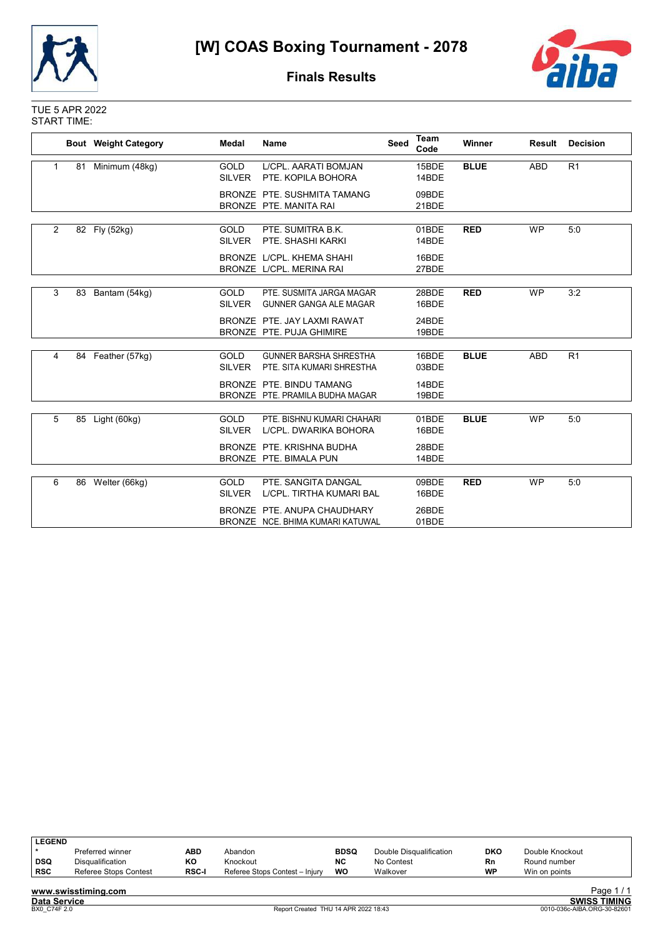



#### Finals Results

#### TUE 5 APR 2022 START TIME:

|   |    | <b>Bout</b> Weight Category | Medal                        | Name                                                            | <b>Seed</b> | <b>Team</b><br>Code | Winner      | Result     | <b>Decision</b> |
|---|----|-----------------------------|------------------------------|-----------------------------------------------------------------|-------------|---------------------|-------------|------------|-----------------|
| 1 | 81 | Minimum (48kg)              | <b>GOLD</b><br>SILVER        | L/CPL. AARATI BOMJAN<br>PTE. KOPILA BOHORA                      |             | 15BDE<br>14BDE      | <b>BLUE</b> | <b>ABD</b> | R <sub>1</sub>  |
|   |    |                             |                              | BRONZE PTE, SUSHMITA TAMANG<br>BRONZE PTE, MANITA RAI           |             | 09BDE<br>21BDE      |             |            |                 |
| 2 |    | 82 Fly (52kg)               | <b>GOLD</b><br><b>SILVER</b> | PTE, SUMITRA B.K.<br>PTE. SHASHI KARKI                          |             | 01BDE<br>14BDE      | <b>RED</b>  | <b>WP</b>  | 5:0             |
|   |    |                             |                              | BRONZE L/CPL. KHEMA SHAHI<br>BRONZE L/CPL. MERINA RAI           |             | 16BDE<br>27BDE      |             |            |                 |
| 3 |    | 83 Bantam (54kg)            | <b>GOLD</b><br><b>SILVER</b> | PTE. SUSMITA JARGA MAGAR<br><b>GUNNER GANGA ALE MAGAR</b>       |             | 28BDE<br>16BDE      | <b>RED</b>  | <b>WP</b>  | 3:2             |
|   |    |                             |                              | BRONZE PTE. JAY LAXMI RAWAT<br>BRONZE PTE, PUJA GHIMIRE         |             | 24BDE<br>19BDE      |             |            |                 |
| 4 |    | 84 Feather (57kg)           | GOLD<br><b>SILVER</b>        | <b>GUNNER BARSHA SHRESTHA</b><br>PTE. SITA KUMARI SHRESTHA      |             | 16BDE<br>03BDE      | <b>BLUE</b> | <b>ABD</b> | R <sub>1</sub>  |
|   |    |                             |                              | BRONZE PTE, BINDU TAMANG<br>BRONZE PTE, PRAMILA BUDHA MAGAR     |             | 14BDE<br>19BDE      |             |            |                 |
| 5 |    | 85 Light (60kg)             | GOLD<br><b>SILVER</b>        | PTE. BISHNU KUMARI CHAHARI<br>L/CPL. DWARIKA BOHORA             |             | 01BDE<br>16BDE      | <b>BLUE</b> | <b>WP</b>  | 5:0             |
|   |    |                             |                              | BRONZE PTE, KRISHNA BUDHA<br>BRONZE PTE. BIMALA PUN             |             | 28BDE<br>14BDE      |             |            |                 |
| 6 |    | 86 Welter (66kg)            | GOLD<br><b>SILVER</b>        | PTE, SANGITA DANGAL<br>L/CPL. TIRTHA KUMARI BAL                 |             | 09BDE<br>16BDE      | <b>RED</b>  | <b>WP</b>  | 5:0             |
|   |    |                             |                              | BRONZE PTE, ANUPA CHAUDHARY<br>BRONZE NCE, BHIMA KUMARI KATUWAL |             | 26BDE<br>01BDE      |             |            |                 |

| <b>LEGEND</b> |                         |              |                                |             |                         |           |                 |                        |
|---------------|-------------------------|--------------|--------------------------------|-------------|-------------------------|-----------|-----------------|------------------------|
|               | Preferred winner        | ABD          | Abandon                        | <b>BDSQ</b> | Double Disqualification | DKO       | Double Knockout |                        |
| l DSQ         | <b>Disqualification</b> | KΟ           | Knockout                       | <b>NC</b>   | No Contest              | <b>Rn</b> | Round number    |                        |
| <b>RSC</b>    | Referee Stops Contest   | <b>RSC-I</b> | Referee Stops Contest - Injury | WO          | Walkover                | <b>WP</b> | Win on points   |                        |
|               | .  .                    |              |                                |             |                         |           |                 | $P_1, \ldots, A, I, A$ |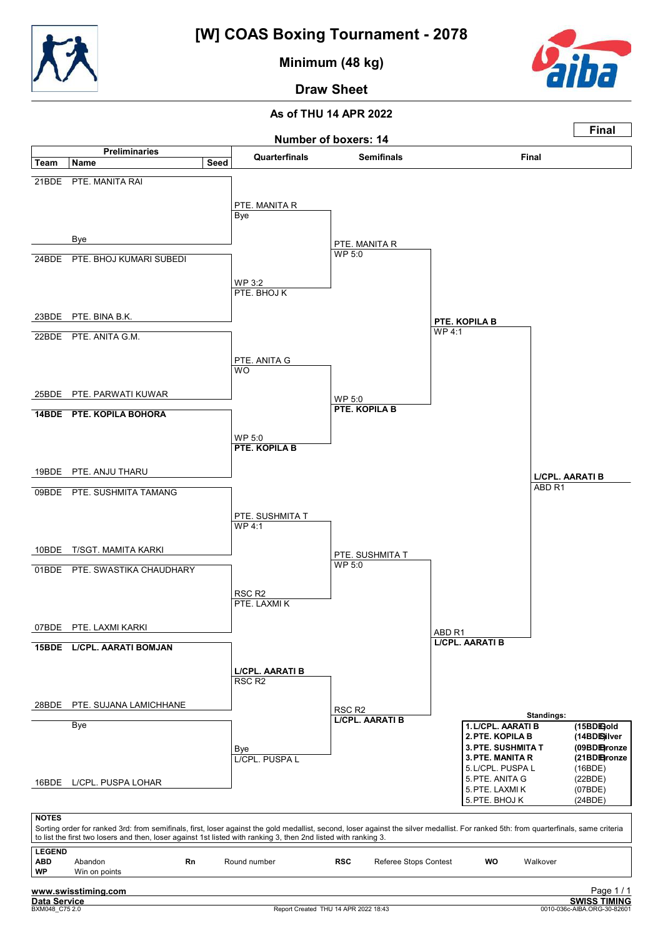

Minimum (48 kg)



Draw Sheet

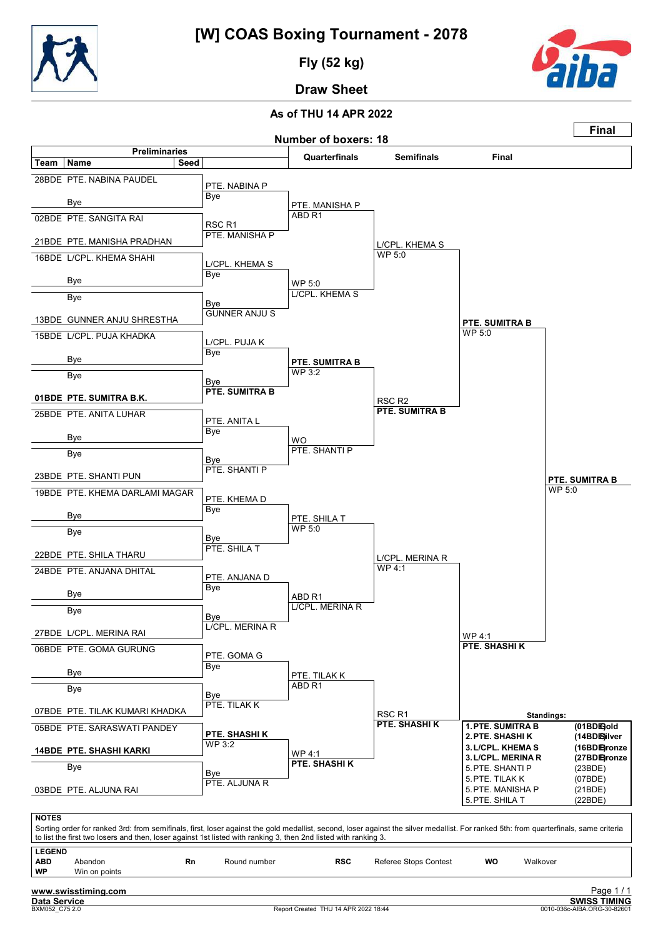

Fly (52 kg)



Draw Sheet

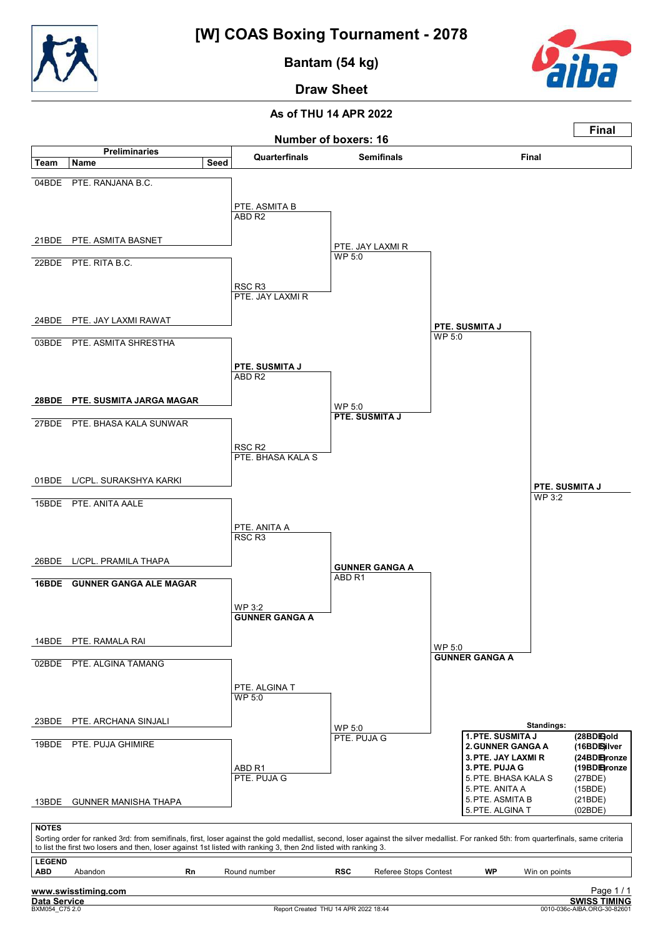

Bantam (54 kg)



Draw Sheet

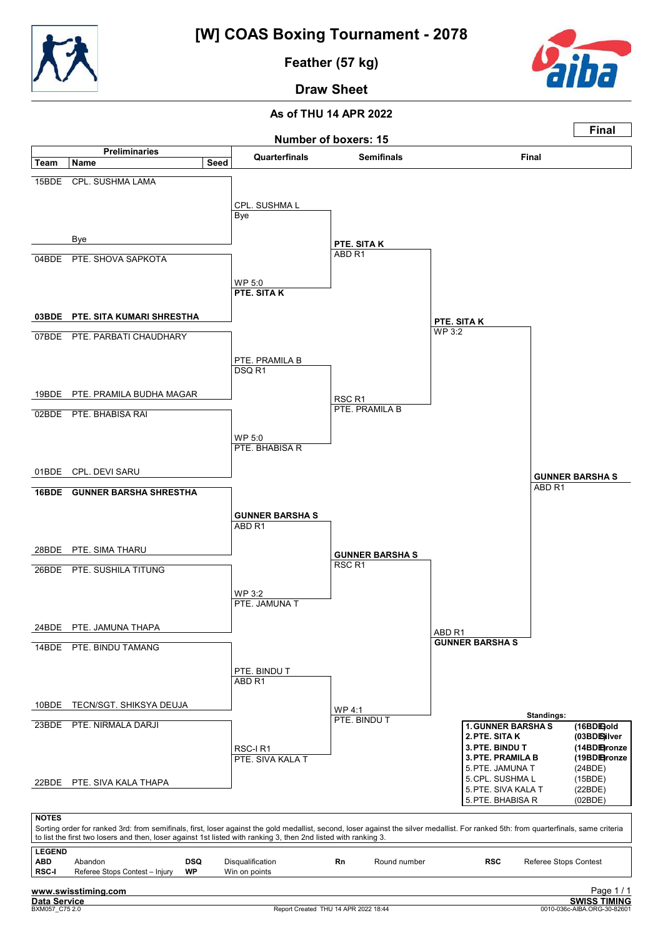

Feather (57 kg)



Draw Sheet

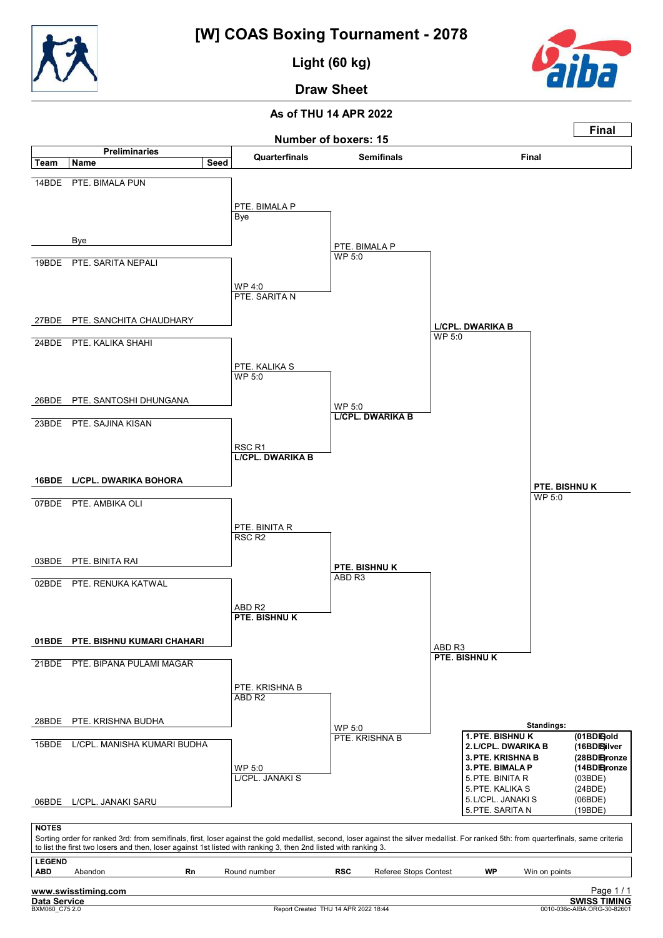

Light (60 kg)



## Draw Sheet

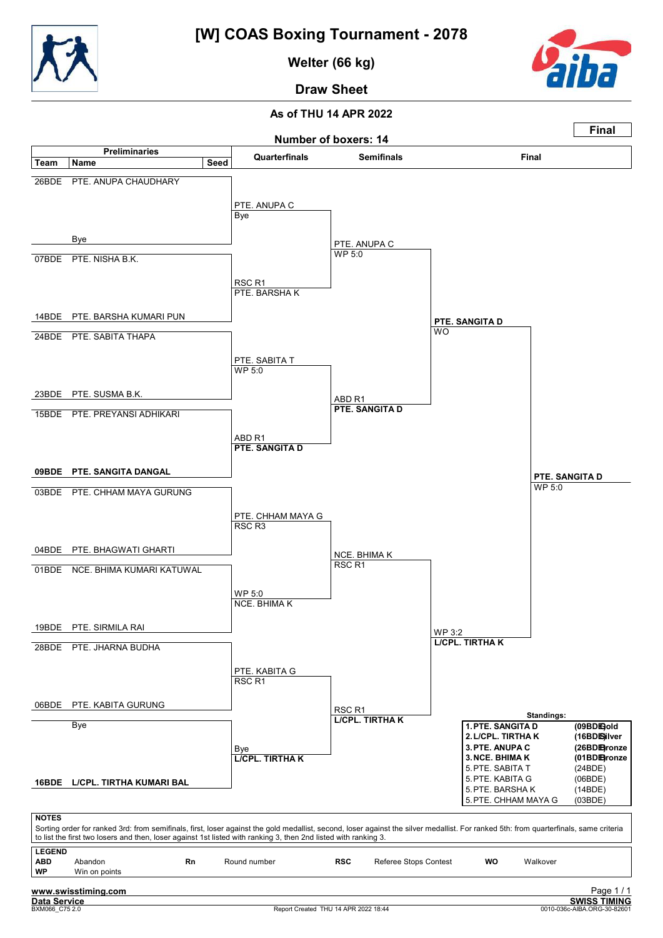

Welter (66 kg)



# Draw Sheet

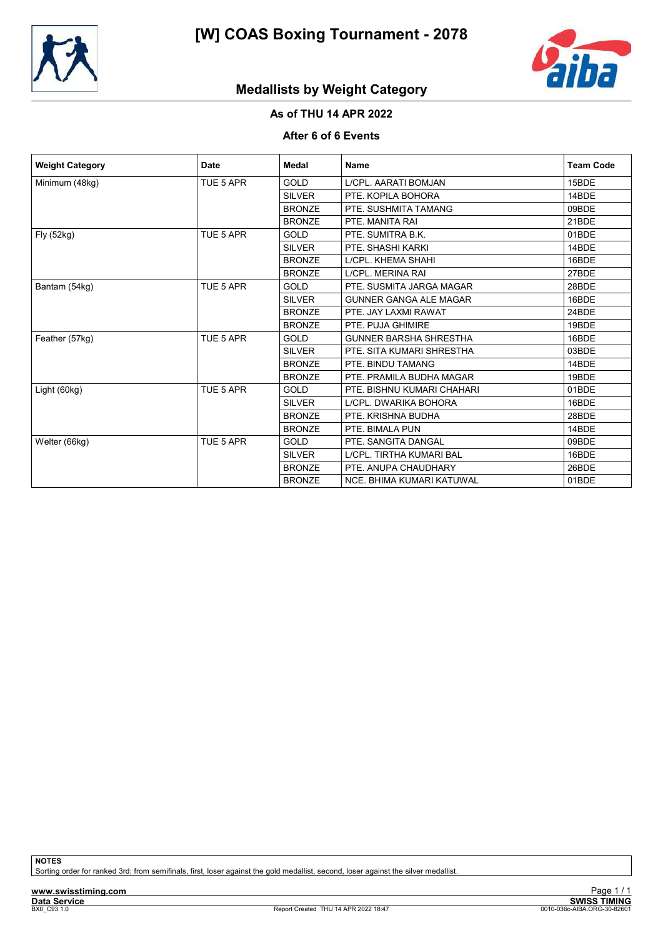



## Medallists by Weight Category

## As of THU 14 APR 2022

#### After 6 of 6 Events

| <b>Weight Category</b> | <b>Date</b> | Medal         | <b>Name</b>                   | <b>Team Code</b> |
|------------------------|-------------|---------------|-------------------------------|------------------|
| Minimum (48kg)         | TUE 5 APR   | GOLD          | L/CPL. AARATI BOMJAN          | 15BDE            |
|                        |             | <b>SILVER</b> | PTE, KOPILA BOHORA            | 14BDE            |
|                        |             | <b>BRONZE</b> | PTE. SUSHMITA TAMANG          | 09BDE            |
|                        |             | <b>BRONZE</b> | PTE. MANITA RAI               | 21BDE            |
| Fly (52kg)             | TUE 5 APR   | <b>GOLD</b>   | PTE. SUMITRA B.K.             | 01BDE            |
|                        |             | <b>SILVER</b> | PTE. SHASHI KARKI             | 14BDE            |
|                        |             | <b>BRONZE</b> | L/CPL. KHEMA SHAHI            | 16BDE            |
|                        |             | <b>BRONZE</b> | L/CPL. MERINA RAI             | 27BDE            |
| Bantam (54kg)          | TUE 5 APR   | <b>GOLD</b>   | PTE. SUSMITA JARGA MAGAR      | 28BDE            |
|                        |             | <b>SILVER</b> | <b>GUNNER GANGA ALE MAGAR</b> | 16BDE            |
|                        |             | <b>BRONZE</b> | PTE. JAY LAXMI RAWAT          | 24BDE            |
|                        |             | <b>BRONZE</b> | PTE. PUJA GHIMIRE             | 19BDE            |
| Feather (57kg)         | TUE 5 APR   | <b>GOLD</b>   | <b>GUNNER BARSHA SHRESTHA</b> | 16BDE            |
|                        |             | <b>SILVER</b> | PTE. SITA KUMARI SHRESTHA     | 03BDE            |
|                        |             | <b>BRONZE</b> | PTE. BINDU TAMANG             | 14BDE            |
|                        |             | <b>BRONZE</b> | PTE. PRAMILA BUDHA MAGAR      | 19BDE            |
| Light (60kg)           | TUE 5 APR   | <b>GOLD</b>   | PTE. BISHNU KUMARI CHAHARI    | 01BDE            |
|                        |             | <b>SILVER</b> | LICPL. DWARIKA BOHORA         | 16BDE            |
|                        |             | <b>BRONZE</b> | PTE, KRISHNA BUDHA            | 28BDE            |
|                        |             | <b>BRONZE</b> | PTE. BIMALA PUN               | 14BDE            |
| Welter (66kg)          | TUE 5 APR   | <b>GOLD</b>   | PTE, SANGITA DANGAL           | 09BDE            |
|                        |             | <b>SILVER</b> | L/CPL. TIRTHA KUMARI BAL      | 16BDE            |
|                        |             | <b>BRONZE</b> | PTE, ANUPA CHAUDHARY          | 26BDE            |
|                        |             | <b>BRONZE</b> | NCE. BHIMA KUMARI KATUWAL     | 01BDE            |

**NOTES** 

Sorting order for ranked 3rd: from semifinals, first, loser against the gold medallist, second, loser against the silver medallist.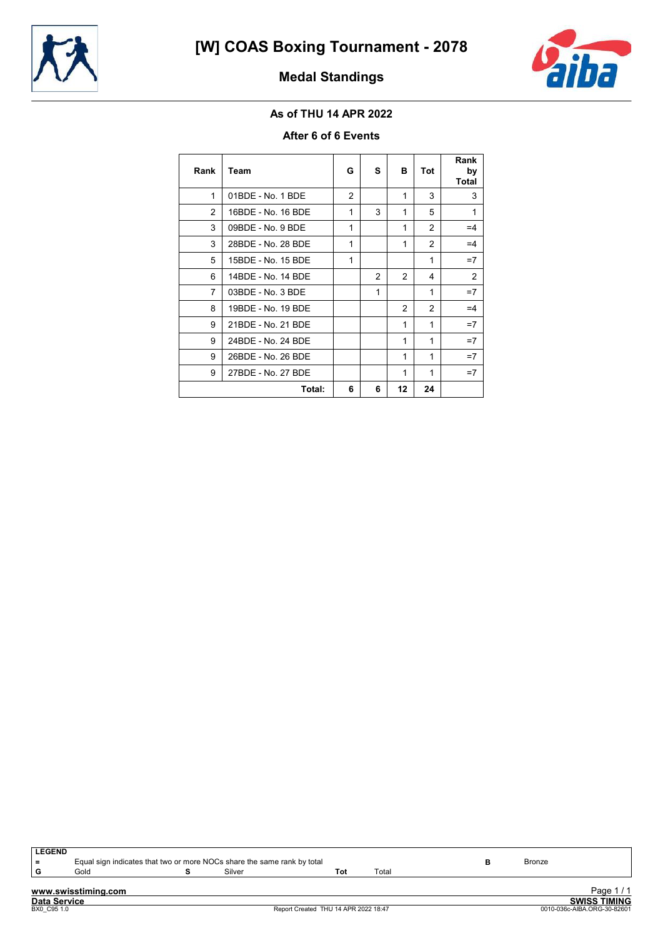



## Medal Standings

### As of THU 14 APR 2022

#### After 6 of 6 Events

| Rank           | Team               | G | s             | в             | Tot          | Rank<br>by<br><b>Total</b> |
|----------------|--------------------|---|---------------|---------------|--------------|----------------------------|
| 1              | 01BDE - No. 1 BDE  | 2 |               | 1             | 3            | 3                          |
| $\overline{2}$ | 16BDE - No. 16 BDE | 1 | 3             | 1             | 5            | 1                          |
| 3              | 09BDE - No. 9 BDE  | 1 |               | 1             | 2            | $=4$                       |
| 3              | 28BDE - No. 28 BDE | 1 |               | 1             | 2            | $=4$                       |
| 5              | 15BDE - No. 15 BDE | 1 |               |               | 1            | $=7$                       |
| 6              | 14BDE - No. 14 BDE |   | $\mathcal{P}$ | $\mathcal{P}$ | 4            | 2                          |
| $\overline{7}$ | 03BDE - No. 3 BDE  |   | 1             |               | $\mathbf{1}$ | $=7$                       |
| 8              | 19BDE - No. 19 BDE |   |               | 2             | 2            | $=4$                       |
| 9              | 21BDE - No. 21 BDE |   |               | 1             | $\mathbf{1}$ | $=7$                       |
| 9              | 24BDE - No. 24 BDE |   |               | 1             | 1            | $=7$                       |
| 9              | 26BDE - No. 26 BDE |   |               | 1             | 1            | $=7$                       |
| 9              | 27BDE - No. 27 BDE |   |               | 1             | 1            | $=7$                       |
|                | Total:             | 6 | 6             | 12            | 24           |                            |

| <b>LEGEND</b>       |                     |                                                                         |     |       |               |                     |
|---------------------|---------------------|-------------------------------------------------------------------------|-----|-------|---------------|---------------------|
| $=$                 |                     | Equal sign indicates that two or more NOCs share the same rank by total |     |       | <b>Bronze</b> |                     |
| G                   | Gold                | Silver                                                                  | Tot | Total |               |                     |
|                     |                     |                                                                         |     |       |               |                     |
|                     | www.swisstiming.com |                                                                         |     |       |               | Page 1/1            |
| <b>Data Service</b> |                     |                                                                         |     |       |               | <b>SWISS TIMING</b> |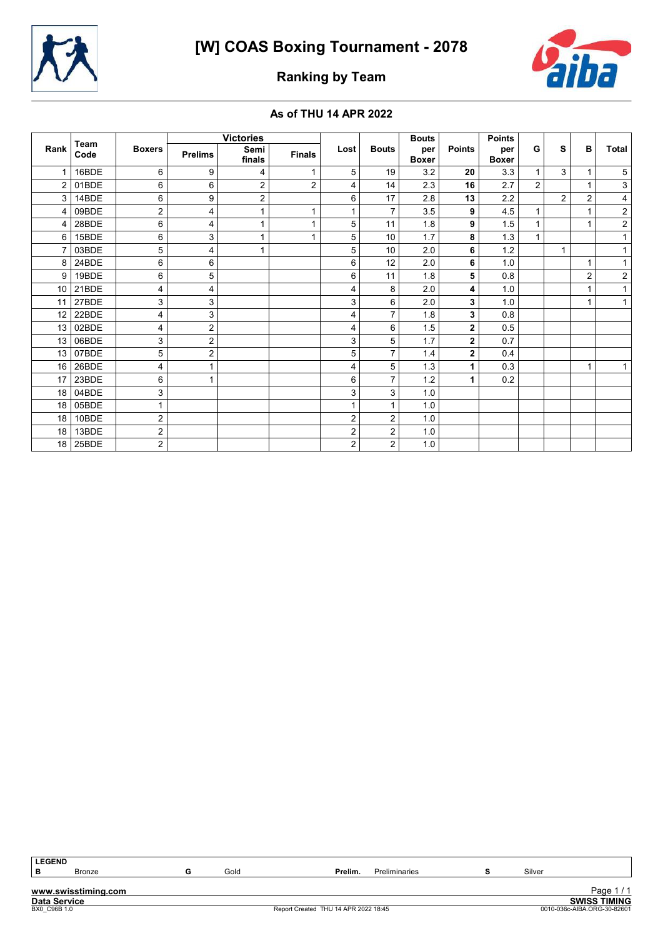



## Ranking by Team

#### As of THU 14 APR 2022

| Team            |       |                |                | <b>Victories</b> |                |                |                | <b>Bouts</b>        |                | <b>Points</b>       |                |                |                |                         |
|-----------------|-------|----------------|----------------|------------------|----------------|----------------|----------------|---------------------|----------------|---------------------|----------------|----------------|----------------|-------------------------|
| Rank            | Code  | <b>Boxers</b>  | <b>Prelims</b> | Semi<br>finals   | <b>Finals</b>  | Lost           | <b>Bouts</b>   | per<br><b>Boxer</b> | <b>Points</b>  | per<br><b>Boxer</b> | G              | s              | B              | <b>Total</b>            |
|                 | 16BDE | 6              | 9              | 4                | $\mathbf{1}$   | 5              | 19             | 3.2                 | 20             | 3.3                 |                | 3              |                | 5                       |
| 2               | 01BDE | 6              | 6              | $\overline{2}$   | $\overline{2}$ | 4              | 14             | 2.3                 | 16             | 2.7                 | $\overline{2}$ |                |                | $\mathsf 3$             |
| 3               | 14BDE | 6              | 9              | $\overline{2}$   |                | 6              | 17             | 2.8                 | 13             | 2.2                 |                | $\overline{2}$ | $\overline{2}$ | $\overline{\mathbf{4}}$ |
| 4               | 09BDE | 2              | 4              | $\mathbf{1}$     | 1              |                | $\overline{7}$ | 3.5                 | 9              | 4.5                 | 1              |                |                | $\sqrt{2}$              |
| 4               | 28BDE | 6              | 4              | 1                | 1              | 5              | 11             | 1.8                 | 9              | 1.5                 | 1              |                |                | $\overline{2}$          |
| 6               | 15BDE | 6              | 3              | 1                | 1              | 5              | 10             | 1.7                 | 8              | 1.3                 |                |                |                |                         |
| 7               | 03BDE | 5              | 4              | 1                |                | 5              | 10             | 2.0                 | 6              | $1.2$               |                | $\mathbf{1}$   |                |                         |
| 8               | 24BDE | 6              | 6              |                  |                | 6              | 12             | 2.0                 | 6              | 1.0                 |                |                |                |                         |
| 9               | 19BDE | 6              | 5              |                  |                | 6              | 11             | 1.8                 | 5              | 0.8                 |                |                | $\overline{2}$ | $\mathbf 2$             |
| 10              | 21BDE | 4              | 4              |                  |                | 4              | 8              | 2.0                 | 4              | 1.0                 |                |                |                |                         |
| 11              | 27BDE | 3              | 3              |                  |                | 3              | 6              | 2.0                 | 3              | 1.0                 |                |                |                |                         |
| 12              | 22BDE | 4              | 3              |                  |                | 4              | 7              | 1.8                 | 3              | 0.8                 |                |                |                |                         |
| 13              | 02BDE | 4              | $\overline{2}$ |                  |                | 4              | 6              | 1.5                 | $\mathbf 2$    | 0.5                 |                |                |                |                         |
| 13              | 06BDE | 3              | 2              |                  |                | 3              | 5              | 1.7                 | $\overline{2}$ | 0.7                 |                |                |                |                         |
| 13              | 07BDE | 5              | $\overline{2}$ |                  |                | 5              | 7              | 1.4                 | $\mathbf 2$    | 0.4                 |                |                |                |                         |
| 16              | 26BDE | 4              | 1              |                  |                | 4              | 5              | 1.3                 | 1              | 0.3                 |                |                | 1              | 1                       |
| 17              | 23BDE | 6              | 1              |                  |                | 6              | 7              | 1.2                 | 1              | 0.2                 |                |                |                |                         |
| 18              | 04BDE | 3              |                |                  |                | 3              | 3              | 1.0                 |                |                     |                |                |                |                         |
| 18              | 05BDE |                |                |                  |                |                | 1              | 1.0                 |                |                     |                |                |                |                         |
| 18              | 10BDE | 2              |                |                  |                | 2              | 2              | 1.0                 |                |                     |                |                |                |                         |
| 18              | 13BDE | 2              |                |                  |                | 2              | 2              | 1.0                 |                |                     |                |                |                |                         |
| 18 <sup>1</sup> | 25BDE | $\overline{2}$ |                |                  |                | $\overline{2}$ | 2              | 1.0                 |                |                     |                |                |                |                         |

LEGEND<br>B

B Bronze Silver Gold Gold **Prelim**. Preliminaries S Silver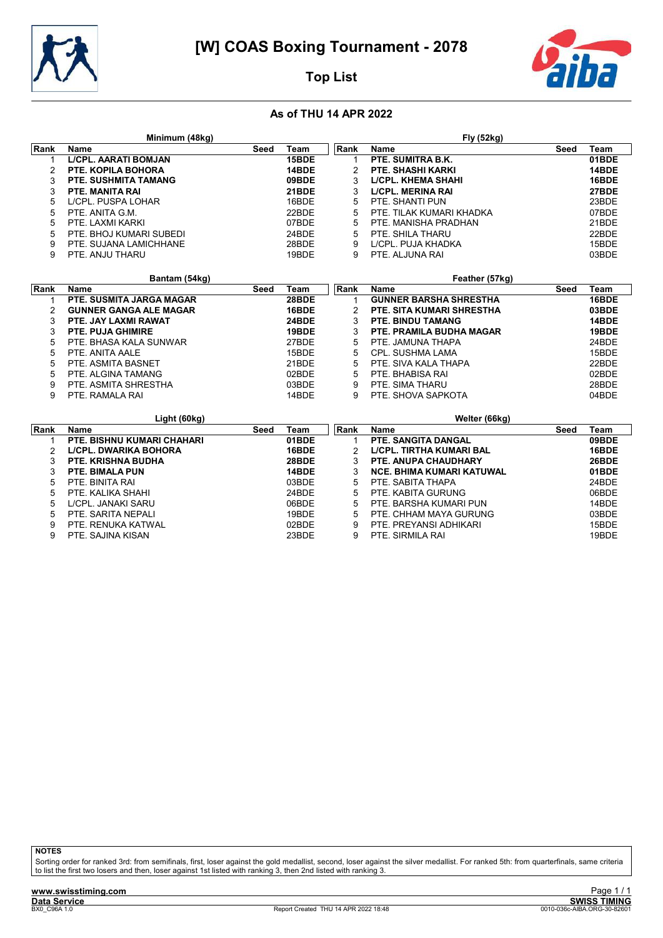



## Top List

#### As of THU 14 APR 2022

|        | Minimum (48kg)                        |      |                |              | Fly (52kg)                                            |      |                |
|--------|---------------------------------------|------|----------------|--------------|-------------------------------------------------------|------|----------------|
| Rank   | <b>Name</b>                           | Seed | Team           | Rank         | <b>Name</b>                                           | Seed | Team           |
|        | <b>L/CPL. AARATI BOMJAN</b>           |      | 15BDE          | $\mathbf 1$  | PTE. SUMITRA B.K.                                     |      | 01BDE          |
| 2      | <b>PTE. KOPILA BOHORA</b>             |      | 14BDE          | 2            | <b>PTE. SHASHI KARKI</b>                              |      | 14BDE          |
| 3      | <b>PTE. SUSHMITA TAMANG</b>           |      | 09BDE          | 3            | <b>L/CPL. KHEMA SHAHI</b>                             |      | 16BDE          |
| 3      | <b>PTE. MANITA RAI</b>                |      | 21BDE          | 3            | <b>LICPL. MERINA RAI</b>                              |      | 27BDE          |
| 5      | L/CPL. PUSPA LOHAR                    |      | 16BDE          | 5            | PTE. SHANTI PUN                                       |      | 23BDE          |
| 5      | PTE. ANITA G.M.                       |      | 22BDE          | 5            | PTE. TILAK KUMARI KHADKA                              |      | 07BDE          |
| 5      | PTE. LAXMI KARKI                      |      | 07BDE          | 5            | PTE. MANISHA PRADHAN                                  |      | 21BDE          |
| 5      | PTE. BHOJ KUMARI SUBEDI               |      | 24BDE          | 5            | PTE. SHILA THARU                                      |      | 22BDE          |
| 9      | PTE. SUJANA LAMICHHANE                |      | 28BDE          | 9            | L/CPL. PUJA KHADKA                                    |      | 15BDE          |
| 9      | PTE. ANJU THARU                       |      | 19BDE          | 9            | PTE. ALJUNA RAI                                       |      | 03BDE          |
|        |                                       |      |                |              |                                                       |      |                |
|        | Bantam (54kg)                         |      |                |              | Feather (57kg)                                        |      |                |
| Rank   | <b>Name</b>                           | Seed | Team<br>28BDE  | Rank         | <b>Name</b>                                           | Seed | Team           |
| 1      | PTE. SUSMITA JARGA MAGAR              |      | 16BDE          | $\mathbf 1$  | <b>GUNNER BARSHA SHRESTHA</b>                         |      | 16BDE          |
| 2      | <b>GUNNER GANGA ALE MAGAR</b>         |      | 24BDE          | 2            | PTE. SITA KUMARI SHRESTHA<br><b>PTE. BINDU TAMANG</b> |      | 03BDE          |
| 3      | PTE. JAY LAXMI RAWAT                  |      |                | 3            |                                                       |      | 14BDE          |
| 3      | <b>PTE. PUJA GHIMIRE</b>              |      | 19BDE          | 3            | PTE. PRAMILA BUDHA MAGAR                              |      | 19BDE          |
| 5<br>5 | PTE. BHASA KALA SUNWAR                |      | 27BDE          | 5            | PTE. JAMUNA THAPA                                     |      | 24BDE<br>15BDE |
| 5      | PTE. ANITA AALE<br>PTE. ASMITA BASNET |      | 15BDE<br>21BDE | 5<br>5       | <b>CPL. SUSHMA LAMA</b><br>PTE. SIVA KALA THAPA       |      | 22BDE          |
|        |                                       |      |                |              |                                                       |      |                |
| 5      | PTE. ALGINA TAMANG                    |      | 02BDE          | 5            | PTE, BHABISA RAI                                      |      | 02BDE          |
| 9      | PTE. ASMITA SHRESTHA                  |      | 03BDE          | 9            | PTE. SIMA THARU                                       |      | 28BDE          |
| 9      | PTE. RAMALA RAI                       |      | 14BDE          | 9            | PTE. SHOVA SAPKOTA                                    |      | 04BDE          |
|        | Light (60kg)                          |      |                |              | Welter (66kg)                                         |      |                |
| Rank   | <b>Name</b>                           | Seed | Team           | Rank         | <b>Name</b>                                           | Seed | Team           |
| 1      | PTE. BISHNU KUMARI CHAHARI            |      | 01BDE          | $\mathbf{1}$ | PTE. SANGITA DANGAL                                   |      | 09BDE          |
| 2      | <b>LICPL. DWARIKA BOHORA</b>          |      | 16BDE          | 2            | <b>L/CPL. TIRTHA KUMARI BAL</b>                       |      | 16BDE          |
| 3      | <b>PTE. KRISHNA BUDHA</b>             |      | 28BDE          | 3            | <b>PTE. ANUPA CHAUDHARY</b>                           |      | 26BDE          |
| 3      | <b>PTE. BIMALA PUN</b>                |      | 14BDE          | 3            | <b>NCE. BHIMA KUMARI KATUWAL</b>                      |      | 01BDE          |
| 5      | PTE. BINITA RAI                       |      | 03BDE          | 5            | PTE. SABITA THAPA                                     |      | 24BDE          |
| 5      | PTE. KALIKA SHAHI                     |      | 24BDE          | 5            | PTE. KABITA GURUNG                                    |      | 06BDE          |
| 5      | L/CPL. JANAKI SARU                    |      | 06BDE          | 5            | PTE. BARSHA KUMARI PUN                                |      | 14BDE          |
| 5      | PTE. SARITA NEPALI                    |      | 19BDE          | 5            | PTE. CHHAM MAYA GURUNG                                |      | 03BDE          |
| 9      | PTE. RENUKA KATWAL                    |      | 02BDE          | 9            | PTE. PREYANSI ADHIKARI                                |      | 15BDE          |
| 9      | PTE. SAJINA KISAN                     |      | 23BDE          | 9            | PTE. SIRMILA RAI                                      |      | 19BDE          |

**NOTES** 

Sorting order for ranked 3rd: from semifinals, first, loser against the gold medallist, second, loser against the silver medallist. For ranked 5th: from quarterfinals, same criteria<br>to list the first two losers and then, l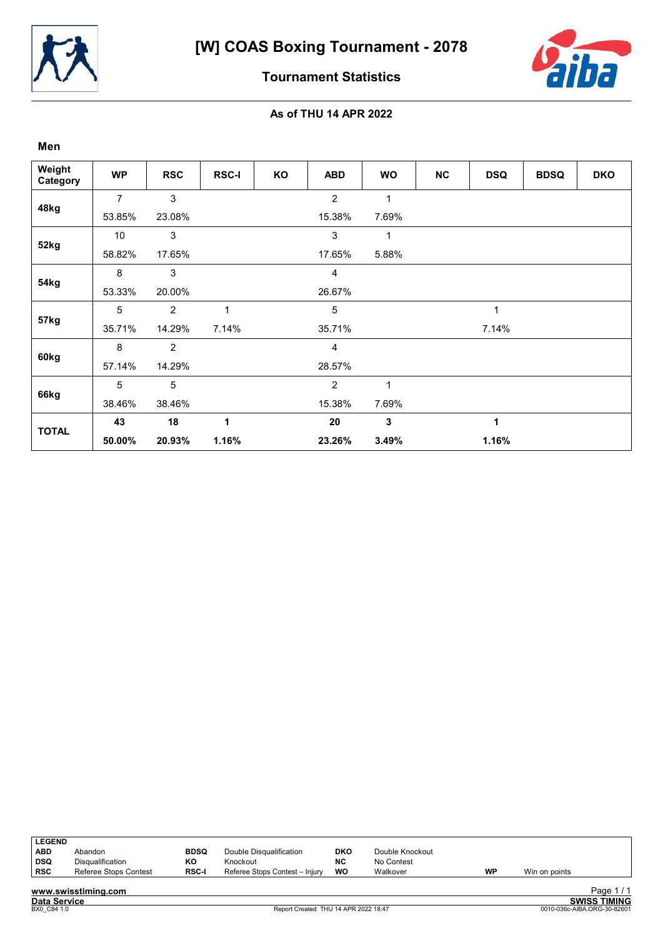



Tournament Statistics

| Men                |                |                |              |    |                |              |           |            |             |            |
|--------------------|----------------|----------------|--------------|----|----------------|--------------|-----------|------------|-------------|------------|
| Weight<br>Category | <b>WP</b>      | <b>RSC</b>     | <b>RSC-I</b> | KO | <b>ABD</b>     | <b>WO</b>    | <b>NC</b> | <b>DSQ</b> | <b>BDSQ</b> | <b>DKO</b> |
|                    | $\overline{7}$ | 3              |              |    | $\overline{2}$ | $\mathbf{1}$ |           |            |             |            |
| 48kg               | 53.85%         | 23.08%         |              |    | 15.38%         | 7.69%        |           |            |             |            |
|                    | 10             | 3              |              |    | $\mathbf{3}$   | 1            |           |            |             |            |
| 52kg               | 58.82%         | 17.65%         |              |    | 17.65%         | 5.88%        |           |            |             |            |
|                    | 8              | 3              |              |    | $\overline{4}$ |              |           |            |             |            |
| 54kg               | 53.33%         | 20.00%         |              |    | 26.67%         |              |           |            |             |            |
|                    | 5              | 2              | 1            |    | 5              |              |           | 1          |             |            |
| 57kg               | 35.71%         | 14.29%         | 7.14%        |    | 35.71%         |              |           | 7.14%      |             |            |
|                    | 8              | $\overline{2}$ |              |    | 4              |              |           |            |             |            |
| 60kg               | 57.14%         | 14.29%         |              |    | 28.57%         |              |           |            |             |            |
|                    | 5              | 5              |              |    | $\overline{c}$ | $\mathbf{1}$ |           |            |             |            |
| 66kg               | 38.46%         | 38.46%         |              |    | 15.38%         | 7.69%        |           |            |             |            |
|                    | 43             | 18             | 1            |    | 20             | $\mathbf 3$  |           | 1          |             |            |
| <b>TOTAL</b>       | 50.00%         | 20.93%         | 1.16%        |    | 23.26%         | 3.49%        |           | 1.16%      |             |            |

| <b>LEGEND</b> |                         |              |                                |            |                 |           |               |
|---------------|-------------------------|--------------|--------------------------------|------------|-----------------|-----------|---------------|
| ABD           | Abandon                 | <b>BDSQ</b>  | Double Disqualification        | <b>DKO</b> | Double Knockout |           |               |
| ∣ DSQ         | <b>Disqualification</b> | КO           | Knockout                       | NC         | No Contest      |           |               |
| ∣ RSC         | Referee Stops Contest   | <b>RSC-I</b> | Referee Stops Contest - Injury | WO         | Walkover        | <b>WP</b> | Win on points |
|               |                         |              |                                |            |                 |           |               |